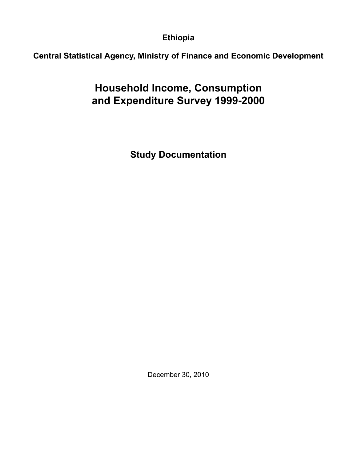**Ethiopia**

**Central Statistical Agency, Ministry of Finance and Economic Development**

**Household Income, Consumption and Expenditure Survey 1999-2000**

**Study Documentation**

December 30, 2010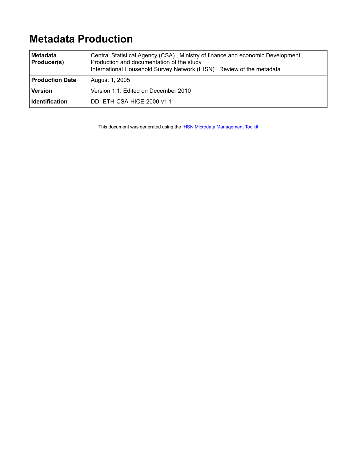# **Metadata Production**

| Metadata<br>Producer(s) | Central Statistical Agency (CSA), Ministry of finance and economic Development,<br>Production and documentation of the study<br>International Household Survey Network (IHSN), Review of the metadata |  |  |  |
|-------------------------|-------------------------------------------------------------------------------------------------------------------------------------------------------------------------------------------------------|--|--|--|
| <b>Production Date</b>  | August 1, 2005                                                                                                                                                                                        |  |  |  |
| <b>Version</b>          | Version 1.1: Edited on December 2010                                                                                                                                                                  |  |  |  |
| <b>Identification</b>   | DDI-ETH-CSA-HICE-2000-y1.1                                                                                                                                                                            |  |  |  |

This document was generated using the **[IHSN Microdata Management Toolkit](http://www.surveynetwork.org/toolkit)**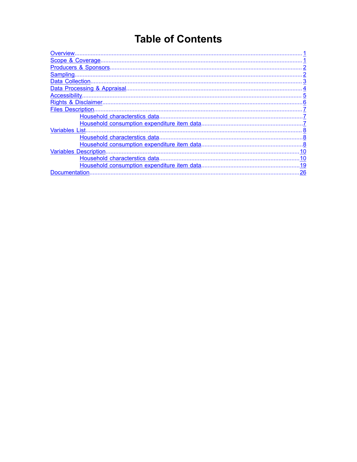# **Table of Contents**

| <b>Files Description.</b>    |  |
|------------------------------|--|
|                              |  |
|                              |  |
| Variables List               |  |
|                              |  |
|                              |  |
| <b>Variables Description</b> |  |
|                              |  |
|                              |  |
| .26<br>Documentation         |  |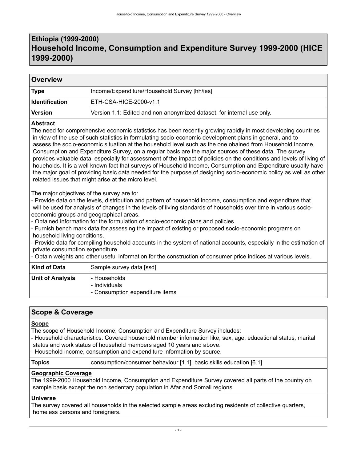### <span id="page-4-0"></span>**Ethiopia (1999-2000) Household Income, Consumption and Expenditure Survey 1999-2000 (HICE 1999-2000)**

| Overview              |                                                                                                               |  |  |  |  |
|-----------------------|---------------------------------------------------------------------------------------------------------------|--|--|--|--|
| <b>Type</b>           | Income/Expenditure/Household Survey [hh/ies]                                                                  |  |  |  |  |
| <b>Identification</b> | ETH-CSA-HICE-2000-v1.1                                                                                        |  |  |  |  |
| <b>Version</b>        | Version 1.1: Edited and non anonymized dataset, for internal use only.                                        |  |  |  |  |
| <b>Abstract</b>       | The need for comprehensive economic statistics has been receptly arowing rapidly in most developing countries |  |  |  |  |

The need for comprehensive economic statistics has been recently growing rapidly in most developing countries in view of the use of such statistics in formulating socio-economic development plans in general, and to assess the socio-economic situation at the household level such as the one obained from Household Income, Consumption and Expenditure Survey, on a regular basis are the major sources of these data. The survey provides valuable data, especially for assessment of the impact of policies on the conditions and levels of living of houeholds. It is a well known fact that surveys of Household Income, Consumption and Expenditure usually have the major goal of providing basic data needed for the purpose of designing socio-economic policy as well as other related issues that might arise at the micro level.

The major objectives of the survey are to:

- Provide data on the levels, distribution and pattern of household income, consumption and expenditure that will be used for analysis of changes in the levels of living standards of households over time in various socioeconomic groups and geographical areas.

- Obtained information for the formulation of socio-economic plans and policies.

- Furnish bench mark data for assessing the impact of existing or proposed socio-economic programs on household living conditions.

- Provide data for compiling household accounts in the system of national accounts, especially in the estimation of private consumption expenditure.

- Obtain weights and other useful information for the construction of consumer price indices at various levels.

| Kind of Data            | Sample survey data [ssd]                                         |  |  |  |
|-------------------------|------------------------------------------------------------------|--|--|--|
| <b>Unit of Analysis</b> | - Households<br>- Individuals<br>- Consumption expenditure items |  |  |  |

### <span id="page-4-1"></span>**Scope & Coverage**

### **Scope**

The scope of Household Income, Consumption and Expenditure Survey includes:

- Household characteristics: Covered household member information like, sex, age, educational status, marital status and work status of household members aged 10 years and above.

- Household income, consumption and expenditure information by source.

**Topics** consumption/consumer behaviour [1.1], basic skills education [6.1]

### **Geographic Coverage**

The 1999-2000 Household Income, Consumption and Expenditure Survey covered all parts of the country on sample basis except the non sedentary population in Afar and Somali regions.

### **Universe**

The survey covered all households in the selected sample areas excluding residents of collective quarters, homeless persons and foreigners.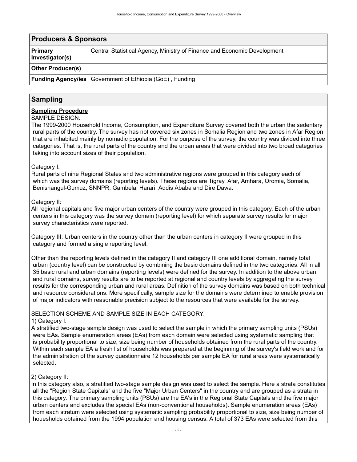<span id="page-5-0"></span>

| <b>Producers &amp; Sponsors</b>   |                                                                          |  |  |  |
|-----------------------------------|--------------------------------------------------------------------------|--|--|--|
| <b>Primary</b><br>Investigator(s) | Central Statistical Agency, Ministry of Finance and Economic Development |  |  |  |
| <b>Other Producer(s)</b>          |                                                                          |  |  |  |
|                                   | <b>Funding Agency/ies</b> $\vert$ Government of Ethiopia (GoE), Funding  |  |  |  |

### <span id="page-5-1"></span>**Sampling**

#### **Sampling Procedure**

#### SAMPLE DESIGN:

The 1999-2000 Household Income, Consumption, and Expenditure Survey covered both the urban the sedentary rural parts of the country. The survey has not covered six zones in Somalia Region and two zones in Afar Region that are inhabited mainly by nomadic population. For the purpose of the survey, the country was divided into three categories. That is, the rural parts of the country and the urban areas that were divided into two broad categories taking into account sizes of their population.

### Category I:

Rural parts of nine Regional States and two administrative regions were grouped in this category each of which was the survey domains (reporting levels). These regions are Tigray, Afar, Amhara, Oromia, Somalia, Benishangul-Gumuz, SNNPR, Gambela, Harari, Addis Ababa and Dire Dawa.

#### Category II:

All regional capitals and five major urban centers of the country were grouped in this category. Each of the urban centers in this category was the survey domain (reporting level) for which separate survey results for major survey characteristics were reported.

Category III: Urban centers in the country other than the urban centers in category II were grouped in this category and formed a single reporting level.

Other than the reporting levels defined in the category II and category III one additional domain, namely total urban (country level) can be constructed by combining the basic domains defined in the two categories. All in all 35 basic rural and urban domains (reporting levels) were defined for the survey. In addition to the above urban and rural domains, survey results are to be reported at regional and country levels by aggregating the survey results for the corresponding urban and rural areas. Definition of the survey domains was based on both technical and resource considerations. More specifically, sample size for the domains were determined to enable provision of major indicators with reasonable precision subject to the resources that were available for the survey.

#### SELECTION SCHEME AND SAMPLE SIZE IN EACH CATEGORY:

### 1) Category I:

A stratified two-stage sample design was used to select the sample in which the primary sampling units (PSUs) were EAs. Sample enumeration areas (EAs) from each domain were selected using systematic sampling that is probability proportional to size; size being number of households obtained from the rural parts of the country. Within each sample EA a fresh list of households was prepared at the beginning of the survey's field work and for the administration of the survey questionnaire 12 households per sample EA for rural areas were systematically selected.

### 2) Category II:

In this category also, a stratified two-stage sample design was used to select the sample. Here a strata constitutes all the "Region State Capitals" and the five "Major Urban Centers" in the country and are grouped as a strata in this category. The primary sampling units (PSUs) are the EA's in the Regional State Capitals and the five major urban centers and excludes the special EAs (non-conventional households). Sample enumeration areas (EAs) from each stratum were selected using systematic sampling probability proportional to size, size being number of houesholds obtained from the 1994 population and housing census. A total of 373 EAs were selected from this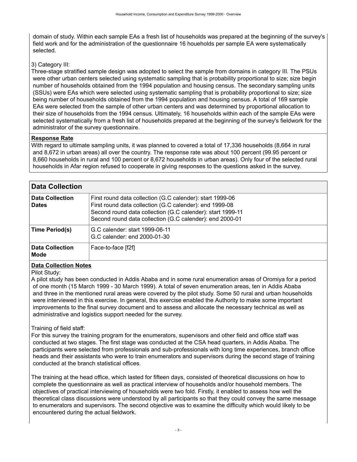domain of study. Within each sample EAs a fresh list of households was prepared at the beginning of the survey's field work and for the administration of the questionnaire 16 houeholds per sample EA were systematically selected.

### 3) Category III:

Three-stage stratified sample design was adopted to select the sample from domains in category III. The PSUs were other urban centers selected using systematic sampling that is probability proportional to size; size begin number of households obtained from the 1994 population and housing census. The secondary sampling units (SSUs) were EAs which were selected using systematic sampling that is probability proportional to size; size being number of households obtained from the 1994 population and housing census. A total of 169 sample EAs were selected from the sample of other urban centers and was determined by proportional allocation to their size of households from the 1994 census. Ultimately, 16 households within each of the sample EAs were selected systematically from a fresh list of households prepared at the beginning of the survey's fieldwork for the administrator of the survey questionnaire.

### **Response Rate**

With regard to ultimate sampling units, it was planned to covered a total of 17,336 households (8,664 in rural and 8,672 in urban areas) all over the country. The response rate was about 100 percent (99.95 percent or 8,660 households in rural and 100 percent or 8,672 households in urban areas). Only four of the selected rural households in Afar region refused to cooperate in giving responses to the questions asked in the survey.

<span id="page-6-0"></span>

| <b>Data Collection</b>                 |                                                                                                                                                                                                                                                |  |  |  |  |
|----------------------------------------|------------------------------------------------------------------------------------------------------------------------------------------------------------------------------------------------------------------------------------------------|--|--|--|--|
| <b>Data Collection</b><br><b>Dates</b> | First round data collection (G.C calender): start 1999-06<br>First round data collection (G.C calender): end 1999-08<br>Second round data collection (G.C calender): start 1999-11<br>Second round data collection (G.C calender): end 2000-01 |  |  |  |  |
| Time Period(s)                         | G.C calender: start 1999-06-11<br>G.C calender: end 2000-01-30                                                                                                                                                                                 |  |  |  |  |
| <b>Data Collection</b><br>Mode         | Face-to-face [f2f]                                                                                                                                                                                                                             |  |  |  |  |

### **Data Collection Notes**

Pilot Study:

A pilot study has been conducted in Addis Ababa and in some rural enumeration areas of Oromiya for a period of one month (15 March 1999 - 30 March 1999). A total of seven enumeration areas, ten in Addis Ababa and three in the mentioned rural areas were covered by the pilot study. Some 50 rural and urban households were interviewed in this exercise. In general, this exercise enabled the Authority to make some important improvements to the final survey document and to assess and allocate the necessary technical as well as administrative and logistics support needed for the survey.

### Training of field staff:

For this survey the training program for the enumerators, supervisors and other field and office staff was conducted at two stages. The first stage was conducted at the CSA head quarters, in Addis Ababa. The participants were selected from professionals and sub-professionals with long time experiences, branch office heads and their assistants who were to train enumerators and supervisors during the second stage of training conducted at the branch statistical offices.

The training at the head office, which lasted for fifteen days, consisted of theoretical discussions on how to complete the questionnaire as well as practical interview of households and/or household members. The objectives of practical interviewing of households were two fold. Firstly, it enabled to assess how well the theoretical class discussions were understood by all participants so that they could convey the same message to enumerators and supervisors. The second objective was to examine the difficulty which would likely to be encountered during the actual fieldwork.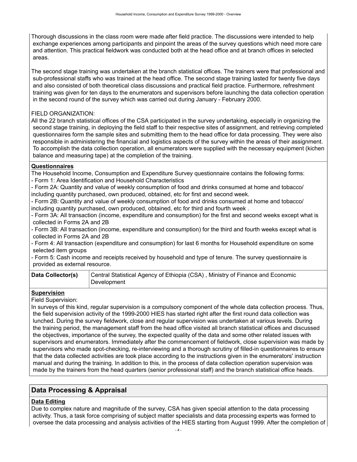Thorough discussions in the class room were made after field practice. The discussions were intended to help exchange experiences among participants and pinpoint the areas of the survey questions which need more care and attention. This practical fieldwork was conducted both at the head office and at branch offices in selected areas.

The second stage training was undertaken at the branch statistical offices. The trainers were that professional and sub-professional staffs who was trained at the head office. The second stage training lasted for twenty five days and also consisted of both theoretical class discussions and practical field practice. Furthermore, refreshment training was given for ten days to the enumerators and supervisors before launching the data collection operation in the second round of the survey which was carried out during January - February 2000.

### FIELD ORGANIZATION:

All the 22 branch statistical offices of the CSA participated in the survey undertaking, especially in organizing the second stage training, in deploying the field staff to their respective sites of assignment, and retrieving completed questionnaires form the sample sites and submitting them to the head office for data processing. They were also responsible in administering the financial and logistics aspects of the survey within the areas of their assignment. To accomplish the data collection operation, all enumerators were supplied with the necessary equipment (kichen balance and measuring tape) at the completion of the training.

#### **Questionnaires**

The Household Income, Consumption and Expenditure Survey questionnaire contains the following forms: - Form 1: Area Identification and Household Characteristics

- Form 2A: Quantity and value of weekly consumption of food and drinks consumed at home and tobacco/ including quantity purchased, own produced, obtained, etc for first and second week.

- Form 2B: Quantity and value of weekly consumption of food and drinks consumed at home and tobacco/ including quantity purchased, own produced, obtained, etc for third and fourth week .

- Form 3A: All transaction (income, expenditure and consumption) for the first and second weeks except what is collected in Forms 2A and 2B

- Form 3B: All transaction (income, expenditure and consumption) for the third and fourth weeks except what is collected in Forms 2A and 2B

- Form 4: All transaction (expenditure and consumption) for last 6 months for Household expenditure on some selected item groups

- Form 5: Cash income and receipts received by household and type of tenure. The survey questionnaire is provided as external resource.

| Data Collector(s) | Central Statistical Agency of Ethiopia (CSA), Ministry of Finance and Economic |
|-------------------|--------------------------------------------------------------------------------|
|                   | Development                                                                    |

### **Supervision**

Field Supervision:

In surveys of this kind, regular supervision is a compulsory component of the whole data collection process. Thus, the field supervision activity of the 1999-2000 HIES has started right after the first round data collection was lunched. During the survey fieldwork, close and regular supervision was undertaken at various levels. During the training period, the management staff from the head office visited all branch statistical offices and discussed the objectives, importance of the survey, the expected quality of the data and some other related issues with supervisors and enumerators. Immediately after the commencement of fieldwork, close supervision was made by supervisors who made spot-checking, re-interviewing and a thorough scrutiny of filled-in questionnaires to ensure that the data collected activities are took place according to the instructions given in the enumerators' instruction manual and during the training. In addition to this, in the process of data collection operation supervision was made by the trainers from the head quarters (senior professional staff) and the branch statistical office heads.

### <span id="page-7-0"></span>**Data Processing & Appraisal**

### **Data Editing**

Due to complex nature and magnitude of the survey, CSA has given special attention to the data processing activity. Thus, a task force comprising of subject matter specialists and data processing experts was formed to oversee the data processing and analysis activities of the HIES starting from August 1999. After the completion of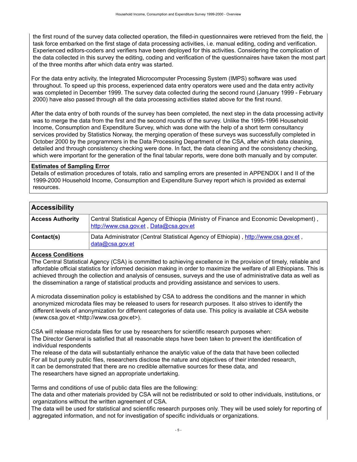the first round of the survey data collected operation, the filled-in questionnaires were retrieved from the field, the task force embarked on the first stage of data processing activities, i.e. manual editing, coding and verification. Experienced editors-coders and verifiers have been deployed for this activities. Considering the complication of the data collected in this survey the editing, coding and verification of the questionnaires have taken the most part of the three months after which data entry was started.

For the data entry activity, the Integrated Microcomputer Processing System (IMPS) software was used throughout. To speed up this process, experienced data entry operators were used and the data entry activity was completed in December 1999. The survey data collected during the second round (January 1999 - February 2000) have also passed through all the data processing activities stated above for the first round.

After the data entry of both rounds of the survey has been completed, the next step in the data processing activity was to merge the data from the first and the second rounds of the survey. Unlike the 1995-1996 Household Income, Consumption and Expenditure Survey, which was done with the help of a short term consultancy services provided by Statistics Norway, the merging operation of these surveys was successfully completed in October 2000 by the programmers in the Data Processing Department of the CSA, after which data cleaning, detailed and through consistency checking were done. In fact, the data cleaning and the consistency checking, which were important for the generation of the final tabular reports, were done both manually and by computer.

### **Estimates of Sampling Error**

Details of estimation procedures of totals, ratio and sampling errors are presented in APPENDIX I and II of the 1999-2000 Household Income, Consumption and Expenditure Survey report which is provided as external resources.

### <span id="page-8-0"></span>**Accessibility**

| <b>Access Authority</b> | Central Statistical Agency of Ethiopia (Ministry of Finance and Economic Development),<br>http://www.csa.gov.et, Data@csa.gov.et |
|-------------------------|----------------------------------------------------------------------------------------------------------------------------------|
| Contact(s)              | Data Administrator (Central Statistical Agency of Ethiopia), http://www.csa.gov.et,<br>$data@csa.gov.$ et                        |

### **Access Conditions**

The Central Statistical Agency (CSA) is committed to achieving excellence in the provision of timely, reliable and affordable official statistics for informed decision making in order to maximize the welfare of all Ethiopians. This is achieved through the collection and analysis of censuses, surveys and the use of administrative data as well as the dissemination a range of statistical products and providing assistance and services to users.

A microdata dissemination policy is established by CSA to address the conditions and the manner in which anonymized microdata files may be released to users for research purposes. It also strives to identify the different levels of anonymization for different categories of data use. This policy is available at CSA website (www.csa.gov.et <http://www.csa.gov.et>).

CSA will release microdata files for use by researchers for scientific research purposes when: The Director General is satisfied that all reasonable steps have been taken to prevent the identification of individual respondents

The release of the data will substantially enhance the analytic value of the data that have been collected For all but purely public files, researchers disclose the nature and objectives of their intended research, It can be demonstrated that there are no credible alternative sources for these data, and The researchers have signed an appropriate undertaking.

Terms and conditions of use of public data files are the following:

The data and other materials provided by CSA will not be redistributed or sold to other individuals, institutions, or organizations without the written agreement of CSA.

The data will be used for statistical and scientific research purposes only. They will be used solely for reporting of aggregated information, and not for investigation of specific individuals or organizations.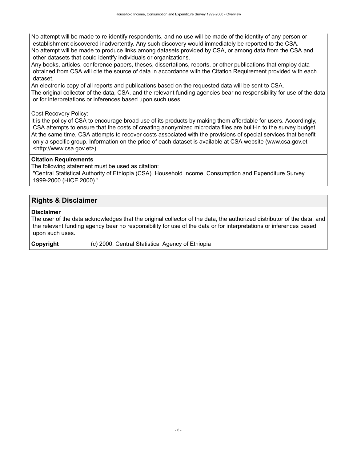No attempt will be made to re-identify respondents, and no use will be made of the identity of any person or establishment discovered inadvertently. Any such discovery would immediately be reported to the CSA. No attempt will be made to produce links among datasets provided by CSA, or among data from the CSA and other datasets that could identify individuals or organizations.

Any books, articles, conference papers, theses, dissertations, reports, or other publications that employ data obtained from CSA will cite the source of data in accordance with the Citation Requirement provided with each dataset.

An electronic copy of all reports and publications based on the requested data will be sent to CSA. The original collector of the data, CSA, and the relevant funding agencies bear no responsibility for use of the data or for interpretations or inferences based upon such uses.

### Cost Recovery Policy:

It is the policy of CSA to encourage broad use of its products by making them affordable for users. Accordingly, CSA attempts to ensure that the costs of creating anonymized microdata files are built-in to the survey budget. At the same time, CSA attempts to recover costs associated with the provisions of special services that benefit only a specific group. Information on the price of each dataset is available at CSA website (www.csa.gov.et <http://www.csa.gov.et>).

### **Citation Requirements**

The following statement must be used as citation:

 "Central Statistical Authority of Ethiopia (CSA). Household Income, Consumption and Expenditure Survey 1999-2000 (HICE 2000) "

### <span id="page-9-0"></span>**Rights & Disclaimer**

### **Disclaimer**

The user of the data acknowledges that the original collector of the data, the authorized distributor of the data, and the relevant funding agency bear no responsibility for use of the data or for interpretations or inferences based upon such uses.

**Copyright** (c) 2000, Central Statistical Agency of Ethiopia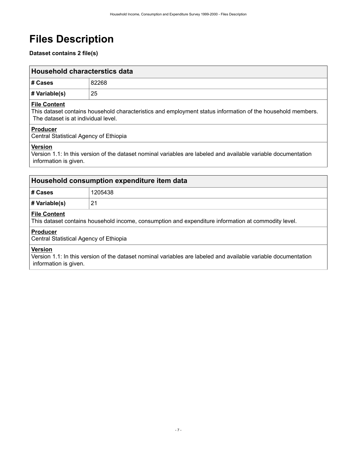# <span id="page-10-0"></span>**Files Description**

**Dataset contains 2 file(s)**

<span id="page-10-1"></span>

| Household characterstics data |       |  |  |
|-------------------------------|-------|--|--|
| # Cases                       | 82268 |  |  |
| $\#$ Variable(s)              | 25    |  |  |

### **File Content**

This dataset contains household characteristics and employment status information of the household members. The dataset is at individual level.

### **Producer**

Central Statistical Agency of Ethiopia

### **Version**

Version 1.1: In this version of the dataset nominal variables are labeled and available variable documentation information is given.

<span id="page-10-2"></span>

| Household consumption expenditure item data                                                                               |         |  |  |  |
|---------------------------------------------------------------------------------------------------------------------------|---------|--|--|--|
| # Cases                                                                                                                   | 1205438 |  |  |  |
| $\#$ Variable(s)                                                                                                          | 21      |  |  |  |
| ∣ File Content<br>This dataset contains household income, consumption and expenditure information at commodity level.     |         |  |  |  |
| <b>Producer</b><br>Central Statistical Agency of Ethiopia                                                                 |         |  |  |  |
| Version<br>Version 1.1: In this version of the dataset nominal variables are labeled and available variable documentation |         |  |  |  |

information is given.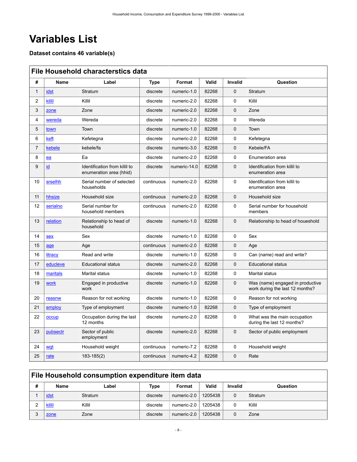# <span id="page-11-0"></span>**Variables List**

**Dataset contains 46 variable(s)**

<span id="page-11-1"></span>

|                | <b>File Household characterstics data</b> |                                                          |             |              |       |             |                                                                     |  |
|----------------|-------------------------------------------|----------------------------------------------------------|-------------|--------------|-------|-------------|---------------------------------------------------------------------|--|
| #              | <b>Name</b>                               | Label                                                    | <b>Type</b> | Format       | Valid | Invalid     | Question                                                            |  |
| $\mathbf{1}$   | idst                                      | Stratum                                                  | discrete    | numeric-1.0  | 82268 | $\mathbf 0$ | Stratum                                                             |  |
| 2              | killil                                    | Killil                                                   | discrete    | numeric-2.0  | 82268 | 0           | Killil                                                              |  |
| 3              | zone                                      | Zone                                                     | discrete    | numeric-2.0  | 82268 | $\Omega$    | Zone                                                                |  |
| 4              | wereda                                    | Wereda                                                   | discrete    | numeric-2.0  | 82268 | $\mathbf 0$ | Wereda                                                              |  |
| 5              | town                                      | Town                                                     | discrete    | numeric-1.0  | 82268 | $\Omega$    | Town                                                                |  |
| 6              | keft                                      | Kefetegna                                                | discrete    | numeric-2.0  | 82268 | $\mathbf 0$ | Kefetegna                                                           |  |
| $\overline{7}$ | kebele                                    | kebele/fa                                                | discrete    | numeric-3.0  | 82268 | $\mathbf 0$ | Kebele/FA                                                           |  |
| 8              | ea                                        | Ea                                                       | discrete    | numeric-2.0  | 82268 | $\mathbf 0$ | Enumeration area                                                    |  |
| 9              | id                                        | Identification from killil to<br>enumeration area (hhid) | discrete    | numeric-14.0 | 82268 | $\mathbf 0$ | Identification from killil to<br>enumeration area                   |  |
| 10             | srselhh                                   | Serial number of selected<br>households                  | continuous  | numeric-2.0  | 82268 | 0           | Identification from killil to<br>enumeration area                   |  |
| 11             | hhsize                                    | Household size                                           | continuous  | numeric-2.0  | 82268 | $\Omega$    | Household size                                                      |  |
| 12             | serialno                                  | Serial number for<br>household members                   | continuous  | numeric-2.0  | 82268 | $\mathbf 0$ | Serial number for household<br>members                              |  |
| 13             | relation                                  | Relationship to head of<br>household                     | discrete    | numeric-1.0  | 82268 | $\mathbf 0$ | Relationship to head of houeshold                                   |  |
| 14             | sex                                       | Sex                                                      | discrete    | numeric-1.0  | 82268 | $\Omega$    | Sex                                                                 |  |
| 15             | age                                       | Age                                                      | continuous  | numeric-2.0  | 82268 | $\mathbf 0$ | Age                                                                 |  |
| 16             | litracy                                   | Read and write                                           | discrete    | numeric-1.0  | 82268 | $\mathbf 0$ | Can (name) read and write?                                          |  |
| 17             | educleve                                  | <b>Educational status</b>                                | discrete    | numeric-2.0  | 82268 | $\mathbf 0$ | <b>Educational status</b>                                           |  |
| 18             | maritals                                  | <b>Marital status</b>                                    | discrete    | numeric-1.0  | 82268 | $\mathbf 0$ | Marital status                                                      |  |
| 19             | work                                      | Engaged in productive<br>work                            | discrete    | numeric-1.0  | 82268 | $\mathbf 0$ | Was (name) engaged in productive<br>work during the last 12 months? |  |
| 20             | reasnw                                    | Reason for not working                                   | discrete    | numeric-1.0  | 82268 | $\mathbf 0$ | Reason for not working                                              |  |
| 21             | employ                                    | Type of employment                                       | discrete    | numeric-1.0  | 82268 | $\mathbf 0$ | Type of employment                                                  |  |
| 22             | occup                                     | Occupation during the last<br>12 months                  | discrete    | numeric-2.0  | 82268 | $\mathbf 0$ | What was the main occupation<br>during the last 12 months?          |  |
| 23             | pubsectr                                  | Sector of public<br>employment                           | discrete    | numeric-2.0  | 82268 | $\mathbf 0$ | Sector of public employment                                         |  |
| 24             | wgt                                       | Household weight                                         | continuous  | numeric-7.2  | 82268 | $\mathbf 0$ | Household weight                                                    |  |
| 25             | <u>rate</u>                               | $183 - 185(2)$                                           | continuous  | numeric-4.2  | 82268 | $\Omega$    | Rate                                                                |  |

### <span id="page-11-2"></span>**File Household consumption expenditure item data # Name Label Type Format Valid Invalid Question** 1 **[idst](#page-22-3)** Stratum discrete numeric-2.0 1205438 0 Stratum 2 [killil](#page-22-4) Killil Constantine discrete numeric-2.0 1205438 0 Killil 3 **Zone Zone Zone Zone Zone Zone** *Zone* **Zone**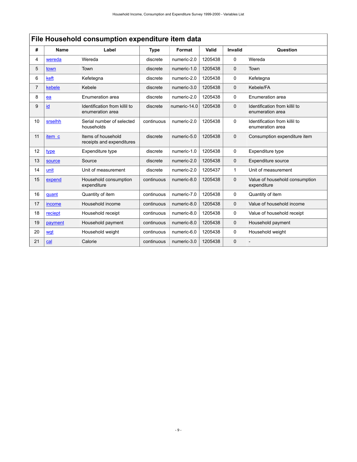|                | File Household consumption expenditure item data |                                                   |             |              |         |                |                                                   |  |
|----------------|--------------------------------------------------|---------------------------------------------------|-------------|--------------|---------|----------------|---------------------------------------------------|--|
| #              | <b>Name</b>                                      | Label                                             | <b>Type</b> | Format       | Valid   | <b>Invalid</b> | Question                                          |  |
| 4              | wereda                                           | Wereda                                            | discrete    | numeric-2.0  | 1205438 | 0              | Wereda                                            |  |
| 5              | town                                             | Town                                              | discrete    | numeric-1.0  | 1205438 | $\mathbf 0$    | Town                                              |  |
| 6              | keft                                             | Kefetegna                                         | discrete    | numeric-2.0  | 1205438 | 0              | Kefetegna                                         |  |
| $\overline{7}$ | kebele                                           | Kebele                                            | discrete    | numeric-3.0  | 1205438 | $\mathbf 0$    | Kebele/FA                                         |  |
| 8              | ea                                               | Enumeration area                                  | discrete    | numeric-2.0  | 1205438 | 0              | Enumeration area                                  |  |
| 9              | id                                               | Identification from killil to<br>enumeration area | discrete    | numeric-14.0 | 1205438 | $\mathbf 0$    | Identification from killil to<br>enumeration area |  |
| 10             | srselhh                                          | Serial number of selected<br>households           | continuous  | numeric-2.0  | 1205438 | $\Omega$       | Identification from killil to<br>enumeration area |  |
| 11             | item c                                           | Items of household<br>receipts and expenditures   | discrete    | numeric-5.0  | 1205438 | $\mathbf 0$    | Consumption expenditure item                      |  |
| 12             | type                                             | Expenditure type                                  | discrete    | numeric-1.0  | 1205438 | 0              | Expenditure type                                  |  |
| 13             | source                                           | Source                                            | discrete    | numeric-2.0  | 1205438 | $\mathbf 0$    | Expenditure source                                |  |
| 14             | unit                                             | Unit of measurement                               | discrete    | numeric-2.0  | 1205437 | 1              | Unit of measurement                               |  |
| 15             | expend                                           | Household consumption<br>expenditure              | continuous  | numeric-8.0  | 1205438 | $\mathbf 0$    | Value of household consumption<br>expenditure     |  |
| 16             | quant                                            | Quantity of item                                  | continuous  | numeric-7.0  | 1205438 | 0              | Quantity of item                                  |  |
| 17             | income                                           | Household income                                  | continuous  | numeric-8.0  | 1205438 | $\mathbf 0$    | Value of household income                         |  |
| 18             | reciept                                          | Household receipt                                 | continuous  | numeric-8.0  | 1205438 | 0              | Value of household receipt                        |  |
| 19             | payment                                          | Household payment                                 | continuous  | numeric-8.0  | 1205438 | $\Omega$       | Household payment                                 |  |
| 20             | wat                                              | Household weight                                  | continuous  | numeric-6.0  | 1205438 | 0              | Household weight                                  |  |
| 21             | cal                                              | Calorie                                           | continuous  | numeric-3.0  | 1205438 | 0              |                                                   |  |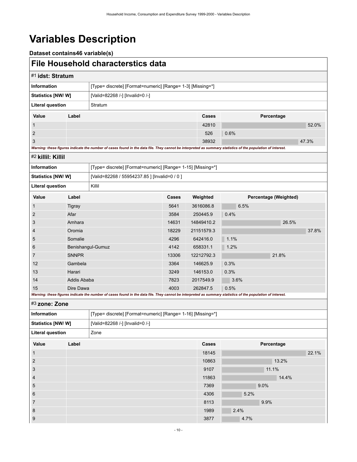# <span id="page-13-0"></span>**Variables Description**

**Dataset contains46 variable(s)**

### <span id="page-13-1"></span>**File Household characterstics data**

<span id="page-13-3"></span><span id="page-13-2"></span>

| #1 idst: Stratum                   |                   |                                                                                                                                                             |       |            |      |                       |
|------------------------------------|-------------------|-------------------------------------------------------------------------------------------------------------------------------------------------------------|-------|------------|------|-----------------------|
| <b>Information</b>                 |                   | [Type= discrete] [Format=numeric] [Range= 1-3] [Missing=*]                                                                                                  |       |            |      |                       |
| Statistics [NW/ W]                 |                   | [Valid=82268 /-] [Invalid=0 /-]                                                                                                                             |       |            |      |                       |
| <b>Literal question</b><br>Stratum |                   |                                                                                                                                                             |       |            |      |                       |
| Value                              | Label             |                                                                                                                                                             |       | Cases      |      | Percentage            |
| $\mathbf{1}$                       |                   |                                                                                                                                                             |       | 42810      |      | 52.0%                 |
| $\overline{2}$                     |                   |                                                                                                                                                             |       | 526        | 0.6% |                       |
| 3                                  |                   |                                                                                                                                                             |       | 38932      |      | 47.3%                 |
|                                    |                   | Warning: these figures indicate the number of cases found in the data file. They cannot be interpreted as summary statistics of the population of interest. |       |            |      |                       |
| #2 killil: Killil                  |                   |                                                                                                                                                             |       |            |      |                       |
| <b>Information</b>                 |                   | [Type= discrete] [Format=numeric] [Range= 1-15] [Missing=*]                                                                                                 |       |            |      |                       |
| Statistics [NW/ W]                 |                   | [Valid=82268 / 55954237.85 ] [Invalid=0 / 0 ]                                                                                                               |       |            |      |                       |
| <b>Literal question</b>            |                   | Killil                                                                                                                                                      |       |            |      |                       |
| Value                              | Label             |                                                                                                                                                             | Cases | Weighted   |      | Percentage (Weighted) |
| $\mathbf{1}$                       | Tigray            |                                                                                                                                                             | 5641  | 3616086.8  | 6.5% |                       |
| $\overline{2}$                     | Afar              |                                                                                                                                                             | 3584  | 250445.9   | 0.4% |                       |
| 3                                  | Amhara            |                                                                                                                                                             | 14631 | 14849410.2 |      | 26.5%                 |
| 4                                  | Oromia            |                                                                                                                                                             | 18229 | 21151579.3 |      | 37.8%                 |
| 5                                  | Somalie           |                                                                                                                                                             | 4296  | 642416.0   | 1.1% |                       |
| 6                                  | Benishangul-Gumuz |                                                                                                                                                             | 4142  | 658331.1   | 1.2% |                       |
| $\overline{7}$                     | <b>SNNPR</b>      |                                                                                                                                                             | 13306 | 12212792.3 |      | 21.8%                 |
| 12                                 | Gambela           |                                                                                                                                                             | 3364  | 146625.9   | 0.3% |                       |
| 13                                 | Harari            |                                                                                                                                                             | 3249  | 146153.0   | 0.3% |                       |
| 14                                 | Addis Ababa       |                                                                                                                                                             | 7823  | 2017549.9  | 3.6% |                       |
| 15                                 | Dire Dawa         |                                                                                                                                                             | 4003  | 262847.5   | 0.5% |                       |
|                                    |                   | Warning: these figures indicate the number of cases found in the data file. They cannot be interpreted as summary statistics of the population of interest. |       |            |      |                       |
| #3 zone: Zone                      |                   |                                                                                                                                                             |       |            |      |                       |
| <b>Information</b>                 |                   | [Type= discrete] [Format=numeric] [Range= 1-16] [Missing=*]                                                                                                 |       |            |      |                       |
| Statistics [NW/W]                  |                   | [Valid=82268 /-] [Invalid=0 /-]                                                                                                                             |       |            |      |                       |

<span id="page-13-4"></span>

| <b>Literal question</b> |       | Zone |       |      |            |       |
|-------------------------|-------|------|-------|------|------------|-------|
| Value                   | Label |      | Cases |      | Percentage |       |
| $\mathbf{1}$            |       |      | 18145 |      |            | 22.1% |
| $\overline{2}$          |       |      | 10863 |      | 13.2%      |       |
| $\mathbf{3}$            |       |      | 9107  |      | 11.1%      |       |
| $\overline{4}$          |       |      | 11863 |      | 14.4%      |       |
| $5\phantom{.0}$         |       |      | 7369  | 9.0% |            |       |
| 6                       |       |      | 4306  | 5.2% |            |       |
| $\overline{7}$          |       |      | 8113  | 9.9% |            |       |
| 8                       |       |      | 1989  | 2.4% |            |       |
| 9                       |       |      | 3877  | 4.7% |            |       |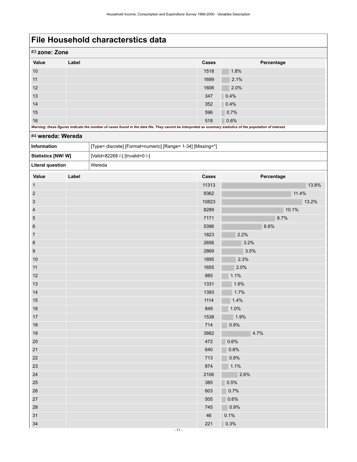|       | #3 zone: Zone                                                                                                                                               |       |            |  |  |  |
|-------|-------------------------------------------------------------------------------------------------------------------------------------------------------------|-------|------------|--|--|--|
| Value | Label                                                                                                                                                       | Cases | Percentage |  |  |  |
| 10    |                                                                                                                                                             | 1518  | 1.8%       |  |  |  |
| 11    |                                                                                                                                                             | 1699  | 2.1%       |  |  |  |
| 12    |                                                                                                                                                             | 1606  | 2.0%       |  |  |  |
| 13    |                                                                                                                                                             | 347   | 0.4%       |  |  |  |
| 14    |                                                                                                                                                             | 352   | 0.4%       |  |  |  |
| 15    |                                                                                                                                                             | 596   | 0.7%       |  |  |  |
| 16    |                                                                                                                                                             | 518   | 0.6%       |  |  |  |
|       | Warning: these figures indicate the number of cases found in the data file. They cannot be interpreted as summary statistics of the population of interest. |       |            |  |  |  |

### <span id="page-14-0"></span>#4 **wereda: Wereda**

| <b>Information</b> | [Type= discrete] [Format=numeric] [Range= 1-34] [Missing=*] |
|--------------------|-------------------------------------------------------------|
| Statistics [NW/W]  | [Valid=82268 /-] [Invalid=0 /-]                             |
| Literal question   | Wereda                                                      |
|                    |                                                             |

| Value            | Label | Cases | Percentage |
|------------------|-------|-------|------------|
| $\mathbf{1}$     |       | 11313 | 13.8%      |
| $\sqrt{2}$       |       | 9362  | 11.4%      |
| $\mathbf{3}$     |       | 10823 | 13.2%      |
| $\overline{4}$   |       | 8289  | 10.1%      |
| $\overline{5}$   |       | 7171  | 8.7%       |
| $\,6\,$          |       | 5396  | 6.6%       |
| $\overline{7}$   |       | 1823  | 2.2%       |
| $\bf 8$          |       | 2656  | 3.2%       |
| $\boldsymbol{9}$ |       | 2869  | 3.5%       |
| $10$             |       | 1895  | 2.3%       |
| 11               |       | 1655  | 2.0%       |
| $12$             |       | 885   | 1.1%       |
| 13               |       | 1331  | 1.6%       |
| 14               |       | 1393  | 1.7%       |
| 15               |       | 1114  | 1.4%       |
| $16\,$           |       | 849   | 1.0%       |
| $17$             |       | 1538  | 1.9%       |
| $18$             |       | 714   | 0.9%       |
| 19               |       | 3882  | 4.7%       |
| 20               |       | 472   | 0.6%       |
| 21               |       | 640   | 0.8%       |
| $22\,$           |       | 713   | 0.9%       |
| 23               |       | 874   | 1.1%       |
| 24               |       | 2106  | 2.6%       |
| 25               |       | 385   | 0.5%       |
| 26               |       | 603   | 0.7%       |
| $27\,$           |       | 505   | 0.6%       |
| 28               |       | 745   | $ 0.9\%$   |
| 31               |       | 46    | 0.1%       |
| 34               |       | 221   | 0.3%       |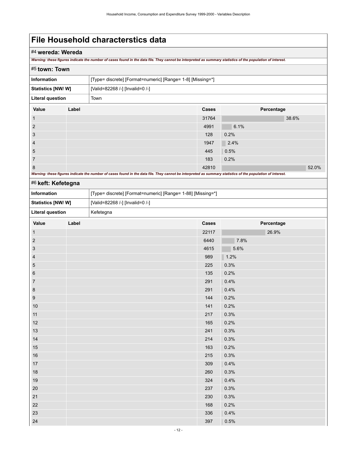### #4 **wereda: Wereda**

*Warning: these figures indicate the number of cases found in the data file. They cannot be interpreted as summary statistics of the population of interest.*

<span id="page-15-0"></span>

| #5 town: Town                                                |                                                                                                                                                             |      |              |            |       |  |
|--------------------------------------------------------------|-------------------------------------------------------------------------------------------------------------------------------------------------------------|------|--------------|------------|-------|--|
| <b>Information</b>                                           | [Type= discrete] [Format=numeric] [Range= 1-8] [Missing=*]                                                                                                  |      |              |            |       |  |
| <b>Statistics [NW/ W]</b><br>[Valid=82268 /-] [Invalid=0 /-] |                                                                                                                                                             |      |              |            |       |  |
| <b>Literal question</b>                                      |                                                                                                                                                             | Town |              |            |       |  |
| Value                                                        | Label                                                                                                                                                       |      | <b>Cases</b> | Percentage |       |  |
|                                                              |                                                                                                                                                             |      | 31764        | 38.6%      |       |  |
| $\overline{2}$                                               |                                                                                                                                                             |      | 4991         | 6.1%       |       |  |
| 3                                                            |                                                                                                                                                             |      | 128          | 0.2%       |       |  |
| 4                                                            |                                                                                                                                                             |      | 1947         | 2.4%       |       |  |
| 5                                                            |                                                                                                                                                             |      | 445          | 0.5%       |       |  |
| 7                                                            |                                                                                                                                                             |      | 183          | 0.2%       |       |  |
| 8                                                            |                                                                                                                                                             |      | 42810        |            | 52.0% |  |
|                                                              | Warning: these figures indicate the number of cases found in the data file. They cannot be interpreted as summary statistics of the population of interest. |      |              |            |       |  |

### <span id="page-15-1"></span>#6 **keft: Kefetegna**

| Information                                          |       | [Type= discrete] [Format=numeric] [Range= 1-88] [Missing=*] |       |            |
|------------------------------------------------------|-------|-------------------------------------------------------------|-------|------------|
| Statistics [NW/W]<br>[Valid=82268 /-] [Invalid=0 /-] |       |                                                             |       |            |
| <b>Literal question</b>                              |       | Kefetegna                                                   |       |            |
| Value                                                | Label |                                                             | Cases | Percentage |
| $\mathbf{1}$                                         |       |                                                             | 22117 | 26.9%      |
| $\sqrt{2}$                                           |       |                                                             | 6440  | 7.8%       |
| $\sqrt{3}$                                           |       |                                                             | 4615  | 5.6%       |
| $\overline{4}$                                       |       |                                                             | 989   | 1.2%       |
| $\overline{5}$                                       |       |                                                             | 225   | 0.3%       |
| $\,6\,$                                              |       |                                                             | 135   | 0.2%       |
| $\overline{7}$                                       |       |                                                             | 291   | 0.4%       |
| $\bf 8$                                              |       |                                                             | 291   | 0.4%       |
| $9\,$                                                |       |                                                             | 144   | 0.2%       |
| 10                                                   |       |                                                             | 141   | 0.2%       |
| 11                                                   |       |                                                             | 217   | 0.3%       |
| 12                                                   |       |                                                             | 165   | 0.2%       |
| 13                                                   |       |                                                             | 241   | 0.3%       |
| 14                                                   |       |                                                             | 214   | 0.3%       |
| 15                                                   |       |                                                             | 163   | 0.2%       |
| $16\,$                                               |       |                                                             | 215   | 0.3%       |
| 17                                                   |       |                                                             | 309   | 0.4%       |
| 18                                                   |       |                                                             | 260   | 0.3%       |
| 19                                                   |       |                                                             | 324   | 0.4%       |
| 20                                                   |       |                                                             | 237   | 0.3%       |
| 21                                                   |       |                                                             | 230   | 0.3%       |
| 22                                                   |       |                                                             | 168   | 0.2%       |
| 23                                                   |       |                                                             | 336   | 0.4%       |
| 24                                                   |       |                                                             | 397   | 0.5%       |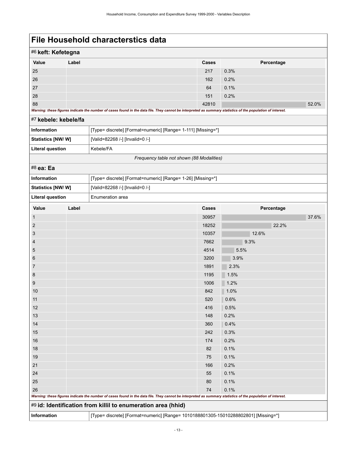| #6 keft: Kefetegna |                                                                                                                                                             |              |            |       |  |  |
|--------------------|-------------------------------------------------------------------------------------------------------------------------------------------------------------|--------------|------------|-------|--|--|
| Value              | Label                                                                                                                                                       | <b>Cases</b> | Percentage |       |  |  |
| 25                 |                                                                                                                                                             | 217          | 0.3%       |       |  |  |
| 26                 |                                                                                                                                                             | 162          | 0.2%       |       |  |  |
| 27                 |                                                                                                                                                             | 64           | 0.1%       |       |  |  |
| 28                 |                                                                                                                                                             | 151          | 0.2%       |       |  |  |
| 88                 |                                                                                                                                                             | 42810        |            | 52.0% |  |  |
|                    | Warning: these figures indicate the number of cases found in the data file. They cannot be interpreted as summary statistics of the population of interest. |              |            |       |  |  |

### <span id="page-16-0"></span>#7 **kebele: kebele/fa**

| <b>Information</b>                        | [Type= discrete] [Format=numeric] [Range= 1-111] [Missing=*] |  |
|-------------------------------------------|--------------------------------------------------------------|--|
| <b>Statistics [NW/W]</b>                  | [Valid=82268 /-] [Invalid=0 /-]                              |  |
| Literal question                          | Kebele/FA                                                    |  |
| Frequency table not shown (88 Modalities) |                                                              |  |

### <span id="page-16-1"></span>#8 **ea: Ea**

<span id="page-16-2"></span>

| Information             |       | [Type= discrete] [Format=numeric] [Range= 1-26] [Missing=*]                                                                                                 |       |            |       |  |  |
|-------------------------|-------|-------------------------------------------------------------------------------------------------------------------------------------------------------------|-------|------------|-------|--|--|
| Statistics [NW/W]       |       | [Valid=82268 /-] [Invalid=0 /-]                                                                                                                             |       |            |       |  |  |
| <b>Literal question</b> |       | Enumeration area                                                                                                                                            |       |            |       |  |  |
| Value                   | Label |                                                                                                                                                             | Cases | Percentage |       |  |  |
| $\mathbf{1}$            |       |                                                                                                                                                             | 30957 |            | 37.6% |  |  |
| $\overline{2}$          |       |                                                                                                                                                             | 18252 | 22.2%      |       |  |  |
| 3                       |       |                                                                                                                                                             | 10357 | 12.6%      |       |  |  |
| $\overline{4}$          |       |                                                                                                                                                             | 7662  | 9.3%       |       |  |  |
| 5                       |       |                                                                                                                                                             | 4514  | 5.5%       |       |  |  |
| $6\phantom{1}6$         |       |                                                                                                                                                             | 3200  | 3.9%       |       |  |  |
| $\overline{7}$          |       |                                                                                                                                                             | 1891  | 2.3%       |       |  |  |
| 8                       |       |                                                                                                                                                             | 1195  | 1.5%       |       |  |  |
| 9                       |       |                                                                                                                                                             | 1006  | 1.2%       |       |  |  |
| 10                      |       |                                                                                                                                                             | 842   | 1.0%       |       |  |  |
| 11                      |       |                                                                                                                                                             | 520   | 0.6%       |       |  |  |
| 12                      |       |                                                                                                                                                             | 416   | 0.5%       |       |  |  |
| 13                      |       |                                                                                                                                                             | 148   | 0.2%       |       |  |  |
| 14                      |       |                                                                                                                                                             | 360   | 0.4%       |       |  |  |
| 15                      |       |                                                                                                                                                             | 242   | 0.3%       |       |  |  |
| 16                      |       |                                                                                                                                                             | 174   | 0.2%       |       |  |  |
| 18                      |       |                                                                                                                                                             | 82    | 0.1%       |       |  |  |
| 19                      |       |                                                                                                                                                             | 75    | 0.1%       |       |  |  |
| 21                      |       |                                                                                                                                                             | 166   | 0.2%       |       |  |  |
| 24                      |       |                                                                                                                                                             | 55    | 0.1%       |       |  |  |
| 25                      |       |                                                                                                                                                             | 80    | 0.1%       |       |  |  |
| 26                      |       |                                                                                                                                                             | 74    | 0.1%       |       |  |  |
|                         |       | Warning: these figures indicate the number of cases found in the data file. They cannot be interpreted as summary statistics of the population of interest. |       |            |       |  |  |
|                         |       | #9 id: Identification from killil to enumeration area (hhid)                                                                                                |       |            |       |  |  |
| Information             |       | [Type= discrete] [Format=numeric] [Range= 1010188801305-15010288802801] [Missing=*]                                                                         |       |            |       |  |  |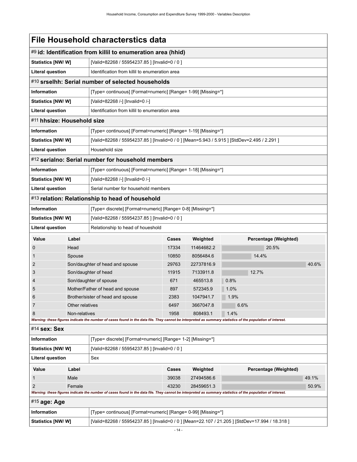<span id="page-17-5"></span><span id="page-17-4"></span><span id="page-17-3"></span><span id="page-17-2"></span><span id="page-17-1"></span><span id="page-17-0"></span>

|                                                                                  | File Household characterstics data |                                                                                                                                                             |                                                |            |                                                                                                |       |  |
|----------------------------------------------------------------------------------|------------------------------------|-------------------------------------------------------------------------------------------------------------------------------------------------------------|------------------------------------------------|------------|------------------------------------------------------------------------------------------------|-------|--|
|                                                                                  |                                    | #9 id: Identification from killil to enumeration area (hhid)                                                                                                |                                                |            |                                                                                                |       |  |
| Statistics [NW/W]                                                                |                                    | [Valid=82268 / 55954237.85 ] [Invalid=0 / 0 ]                                                                                                               |                                                |            |                                                                                                |       |  |
| <b>Literal question</b>                                                          |                                    | Identification from killil to enumeration area                                                                                                              |                                                |            |                                                                                                |       |  |
|                                                                                  |                                    | #10 srselhh: Serial number of selected households                                                                                                           |                                                |            |                                                                                                |       |  |
| <b>Information</b>                                                               |                                    | [Type= continuous] [Format=numeric] [Range= 1-99] [Missing=*]                                                                                               |                                                |            |                                                                                                |       |  |
| <b>Statistics [NW/ W]</b>                                                        |                                    | [Valid=82268 /-] [Invalid=0 /-]                                                                                                                             |                                                |            |                                                                                                |       |  |
| <b>Literal question</b>                                                          |                                    |                                                                                                                                                             | Identification from killil to enumeration area |            |                                                                                                |       |  |
| #11 hhsize: Household size                                                       |                                    |                                                                                                                                                             |                                                |            |                                                                                                |       |  |
| <b>Information</b>                                                               |                                    | [Type= continuous] [Format=numeric] [Range= 1-19] [Missing=*]                                                                                               |                                                |            |                                                                                                |       |  |
| Statistics [NW/W]                                                                |                                    | [Valid=82268 / 55954237.85 ] [Invalid=0 / 0 ] [Mean=5.943 / 5.915 ] [StdDev=2.495 / 2.291 ]                                                                 |                                                |            |                                                                                                |       |  |
| <b>Literal question</b>                                                          |                                    | Household size                                                                                                                                              |                                                |            |                                                                                                |       |  |
|                                                                                  |                                    | #12 serialno: Serial number for household members                                                                                                           |                                                |            |                                                                                                |       |  |
| <b>Information</b>                                                               |                                    | [Type= continuous] [Format=numeric] [Range= 1-18] [Missing=*]                                                                                               |                                                |            |                                                                                                |       |  |
| Statistics [NW/W]                                                                |                                    | [Valid=82268 /-] [Invalid=0 /-]                                                                                                                             |                                                |            |                                                                                                |       |  |
| <b>Literal question</b>                                                          |                                    | Serial number for household members                                                                                                                         |                                                |            |                                                                                                |       |  |
|                                                                                  |                                    | #13 relation: Relationship to head of household                                                                                                             |                                                |            |                                                                                                |       |  |
| <b>Information</b><br>[Type= discrete] [Format=numeric] [Range= 0-8] [Missing=*] |                                    |                                                                                                                                                             |                                                |            |                                                                                                |       |  |
| Statistics [NW/W]                                                                |                                    | [Valid=82268 / 55954237.85 ] [Invalid=0 / 0 ]                                                                                                               |                                                |            |                                                                                                |       |  |
| <b>Literal question</b>                                                          |                                    | Relationship to head of houeshold                                                                                                                           |                                                |            |                                                                                                |       |  |
| Value                                                                            | Label                              |                                                                                                                                                             | <b>Cases</b>                                   | Weighted   | Percentage (Weighted)                                                                          |       |  |
| 0                                                                                | Head                               |                                                                                                                                                             | 17334                                          | 11464682.2 | 20.5%                                                                                          |       |  |
|                                                                                  | Spouse                             |                                                                                                                                                             | 10850                                          | 8056484.6  | 14.4%                                                                                          |       |  |
| 2                                                                                |                                    | Son/daughter of head and spouse                                                                                                                             | 29763                                          | 22737816.9 |                                                                                                | 40.6% |  |
| 3                                                                                |                                    | Son/daughter of head                                                                                                                                        | 11915                                          | 7133911.8  | 12.7%                                                                                          |       |  |
| 4                                                                                |                                    | Son/daughter of spouse                                                                                                                                      | 671                                            | 465513.8   | 0.8%                                                                                           |       |  |
| 5                                                                                |                                    | Mother/Father of head and spouse                                                                                                                            | 897                                            | 572345.9   | 1.0%                                                                                           |       |  |
| 6                                                                                |                                    | Brother/sister of head and spouse                                                                                                                           | 2383                                           | 1047941.7  | 1.9%                                                                                           |       |  |
| 7                                                                                | Other relatives                    |                                                                                                                                                             | 6497                                           | 3667047.8  | 6.6%                                                                                           |       |  |
| 8                                                                                | Non-relatives                      |                                                                                                                                                             | 1958                                           | 808493.1   | 1.4%                                                                                           |       |  |
|                                                                                  |                                    | Warning: these figures indicate the number of cases found in the data file. They cannot be interpreted as summary statistics of the population of interest. |                                                |            |                                                                                                |       |  |
| #14 sex: Sex                                                                     |                                    |                                                                                                                                                             |                                                |            |                                                                                                |       |  |
| <b>Information</b>                                                               |                                    | [Type= discrete] [Format=numeric] [Range= 1-2] [Missing=*]                                                                                                  |                                                |            |                                                                                                |       |  |
| Statistics [NW/W]                                                                |                                    | [Valid=82268 / 55954237.85 ] [Invalid=0 / 0 ]                                                                                                               |                                                |            |                                                                                                |       |  |
| <b>Literal question</b>                                                          |                                    | Sex                                                                                                                                                         |                                                |            |                                                                                                |       |  |
| Value                                                                            | Label                              | Weighted<br>Percentage (Weighted)<br>Cases                                                                                                                  |                                                |            |                                                                                                |       |  |
| 1                                                                                | Male                               |                                                                                                                                                             | 39038                                          | 27494586.6 |                                                                                                | 49.1% |  |
| 2                                                                                | Female                             |                                                                                                                                                             | 43230                                          | 28459651.3 |                                                                                                | 50.9% |  |
|                                                                                  |                                    | Warning: these figures indicate the number of cases found in the data file. They cannot be interpreted as summary statistics of the population of interest. |                                                |            |                                                                                                |       |  |
| <sup>#15</sup> age: Age                                                          |                                    |                                                                                                                                                             |                                                |            |                                                                                                |       |  |
| <b>Information</b>                                                               |                                    | [Type= continuous] [Format=numeric] [Range= 0-99] [Missing=*]                                                                                               |                                                |            |                                                                                                |       |  |
| Statistics [NW/W]                                                                |                                    |                                                                                                                                                             |                                                |            | [Valid=82268 / 55954237.85] [Invalid=0 / 0 ] [Mean=22.107 / 21.205 ] [StdDev=17.994 / 18.318 ] |       |  |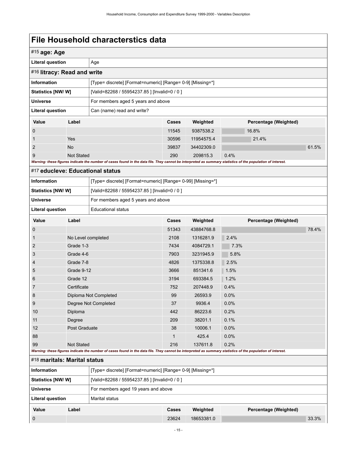<span id="page-18-1"></span><span id="page-18-0"></span>

|                                                                                   |                    | File Household characterstics data                                                                                                                          |       |            |                       |       |
|-----------------------------------------------------------------------------------|--------------------|-------------------------------------------------------------------------------------------------------------------------------------------------------------|-------|------------|-----------------------|-------|
| $#15$ age: Age                                                                    |                    |                                                                                                                                                             |       |            |                       |       |
| <b>Literal question</b>                                                           |                    | Age                                                                                                                                                         |       |            |                       |       |
| #16 litracy: Read and write                                                       |                    |                                                                                                                                                             |       |            |                       |       |
| <b>Information</b>                                                                |                    | [Type= discrete] [Format=numeric] [Range= 0-9] [Missing=*]                                                                                                  |       |            |                       |       |
| <b>Statistics [NW/W]</b>                                                          |                    | [Valid=82268 / 55954237.85 ] [Invalid=0 / 0 ]                                                                                                               |       |            |                       |       |
| <b>Universe</b>                                                                   |                    | For members aged 5 years and above                                                                                                                          |       |            |                       |       |
| <b>Literal question</b>                                                           |                    | Can (name) read and write?                                                                                                                                  |       |            |                       |       |
| Value                                                                             | Label              |                                                                                                                                                             | Cases | Weighted   | Percentage (Weighted) |       |
| 0                                                                                 |                    |                                                                                                                                                             | 11545 | 9387538.2  | 16.8%                 |       |
| 1                                                                                 | Yes                |                                                                                                                                                             | 30596 | 11954575.4 | 21.4%                 |       |
| 2                                                                                 | <b>No</b>          |                                                                                                                                                             | 39837 | 34402309.0 |                       | 61.5% |
| 9                                                                                 | <b>Not Stated</b>  |                                                                                                                                                             | 290   | 209815.3   | 0.4%                  |       |
|                                                                                   |                    | Warning: these figures indicate the number of cases found in the data file. They cannot be interpreted as summary statistics of the population of interest. |       |            |                       |       |
| #17 educleve: Educational status                                                  |                    |                                                                                                                                                             |       |            |                       |       |
| <b>Information</b><br>[Type= discrete] [Format=numeric] [Range= 0-99] [Missing=*] |                    |                                                                                                                                                             |       |            |                       |       |
| [Valid=82268 / 55954237.85 ] [Invalid=0 / 0 ]<br>Statistics [NW/W]                |                    |                                                                                                                                                             |       |            |                       |       |
| <b>Universe</b><br>For members aged 5 years and above                             |                    |                                                                                                                                                             |       |            |                       |       |
| <b>Literal question</b><br><b>Educational status</b>                              |                    |                                                                                                                                                             |       |            |                       |       |
| Value                                                                             | Label              |                                                                                                                                                             | Cases | Weighted   | Percentage (Weighted) |       |
| 0                                                                                 |                    |                                                                                                                                                             | 51343 | 43884768.8 |                       | 78.4% |
| 1                                                                                 | No Level completed |                                                                                                                                                             | 2108  | 1316281.9  | 2.4%                  |       |
| 2                                                                                 | Grade 1-3          |                                                                                                                                                             | 7434  | 4084729.1  | 7.3%                  |       |
| 3                                                                                 | Grade 4-6          |                                                                                                                                                             | 7903  | 3231945.9  | 5.8%                  |       |
| 4                                                                                 | Grade 7-8          |                                                                                                                                                             | 4826  | 1375338.8  | 2.5%                  |       |
| 5                                                                                 | Grade 9-12         |                                                                                                                                                             | 3666  | 851341.6   | 1.5%                  |       |
| 6                                                                                 | Grade 12           |                                                                                                                                                             | 3194  | 693384.5   | 1.2%                  |       |
| 7                                                                                 | Certificate        |                                                                                                                                                             | 752   | 207448.9   | 0.4%                  |       |
| 8                                                                                 |                    | Diploma Not Completed                                                                                                                                       | 99    | 26593.9    | 0.0%                  |       |
| 9                                                                                 |                    | Degree Not Completed                                                                                                                                        | 37    | 9936.4     | 0.0%                  |       |
| 10                                                                                | Diploma            |                                                                                                                                                             | 442   | 86223.6    | 0.2%                  |       |
| 11                                                                                | Degree             |                                                                                                                                                             | 209   | 38201.1    | 0.1%                  |       |
| 12                                                                                | Post Graduate      |                                                                                                                                                             | 38    | 10006.1    | 0.0%                  |       |
| 88                                                                                |                    |                                                                                                                                                             | 1     | 425.4      | 0.0%                  |       |
| 99                                                                                | <b>Not Stated</b>  |                                                                                                                                                             | 216   | 137611.8   | 0.2%                  |       |
|                                                                                   |                    | Warning: these figures indicate the number of cases found in the data file. They cannot be interpreted as summary statistics of the population of interest. |       |            |                       |       |
| #18 maritals: Marital status                                                      |                    |                                                                                                                                                             |       |            |                       |       |
| Information                                                                       |                    | [Type= discrete] [Format=numeric] [Range= 0-9] [Missing=*]                                                                                                  |       |            |                       |       |
| Statistics [NW/W]<br>[Valid=82268 / 55954237.85 ] [Invalid=0 / 0 ]                |                    |                                                                                                                                                             |       |            |                       |       |

<span id="page-18-2"></span>

| <b>Universe</b>  |       | For members aged 19 years and above |              |            |                       |       |
|------------------|-------|-------------------------------------|--------------|------------|-----------------------|-------|
| Literal question |       | Marital status                      |              |            |                       |       |
| Value            | Label |                                     | <b>Cases</b> | Weighted   | Percentage (Weighted) |       |
| $\mathbf 0$      |       |                                     | 23624        | 18653381.0 |                       | 33.3% |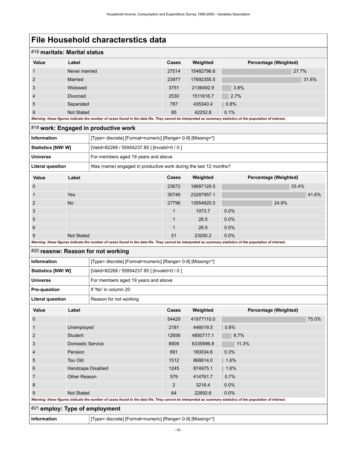<span id="page-19-2"></span><span id="page-19-1"></span><span id="page-19-0"></span>

| #18 maritals: Marital status   |                     |                                                                                                                                                             |              |            |                       |       |
|--------------------------------|---------------------|-------------------------------------------------------------------------------------------------------------------------------------------------------------|--------------|------------|-----------------------|-------|
| Value                          | Label               |                                                                                                                                                             | Cases        | Weighted   | Percentage (Weighted) |       |
| 1                              | Never married       |                                                                                                                                                             | 27514        | 15482796.6 | 27.7%                 |       |
| $\overline{2}$                 | Married             |                                                                                                                                                             | 23977        | 17692355.5 |                       | 31.6% |
| 3                              | Widowed             |                                                                                                                                                             | 3751         | 2136492.9  | 3.8%                  |       |
| $\overline{4}$                 | Divorced            |                                                                                                                                                             | 2530         | 1511618.7  | 2.7%                  |       |
| 5                              | Separated           |                                                                                                                                                             | 787          | 435340.4   | 0.8%                  |       |
| 9                              | <b>Not Stated</b>   |                                                                                                                                                             | 85           | 42252.8    | 0.1%                  |       |
|                                |                     | Warning: these figures indicate the number of cases found in the data file. They cannot be interpreted as summary statistics of the population of interest. |              |            |                       |       |
|                                |                     | #19 work: Engaged in productive work                                                                                                                        |              |            |                       |       |
| <b>Information</b>             |                     | [Type= discrete] [Format=numeric] [Range= 0-9] [Missing=*]                                                                                                  |              |            |                       |       |
| Statistics [NW/W]              |                     | [Valid=82268 / 55954237.85 ] [Invalid=0 / 0 ]                                                                                                               |              |            |                       |       |
| <b>Universe</b>                |                     | For members aged 19 years and above                                                                                                                         |              |            |                       |       |
| <b>Literal question</b>        |                     | Was (name) engaged in productive work during the last 12 months?                                                                                            |              |            |                       |       |
| <b>Value</b>                   | Label               |                                                                                                                                                             | Cases        | Weighted   | Percentage (Weighted) |       |
| $\mathbf 0$                    |                     |                                                                                                                                                             | 23672        | 18687129.5 | 33.4%                 |       |
| 1                              | Yes                 |                                                                                                                                                             | 30746        | 23287957.1 |                       | 41.6% |
| $\overline{2}$                 | <b>No</b>           |                                                                                                                                                             | 27796        | 13954820.5 | 24.9%                 |       |
| 3                              |                     |                                                                                                                                                             | 1            | 1073.7     | 0.0%                  |       |
| 5                              |                     |                                                                                                                                                             | 1            | 28.5       | 0.0%                  |       |
| 6                              |                     |                                                                                                                                                             | $\mathbf{1}$ | 28.5       | 0.0%                  |       |
| 9                              | <b>Not Stated</b>   |                                                                                                                                                             | 51           | 23200.2    | 0.0%                  |       |
|                                |                     | Warning: these figures indicate the number of cases found in the data file. They cannot be interpreted as summary statistics of the population of interest. |              |            |                       |       |
|                                |                     | #20 reasnw: Reason for not working                                                                                                                          |              |            |                       |       |
| <b>Information</b>             |                     | [Type= discrete] [Format=numeric] [Range= 0-9] [Missing=*]                                                                                                  |              |            |                       |       |
| Statistics [NW/ W]             |                     | [Valid=82268 / 55954237.85 ] [Invalid=0 / 0 ]                                                                                                               |              |            |                       |       |
| <b>Universe</b>                |                     | For members aged 19 years and above                                                                                                                         |              |            |                       |       |
| <b>Pre-question</b>            |                     | If 'No' in column 20                                                                                                                                        |              |            |                       |       |
| <b>Literal question</b>        |                     | Reason for not working                                                                                                                                      |              |            |                       |       |
| Value                          | Label               |                                                                                                                                                             | Cases        | Weighted   | Percentage (Weighted) |       |
| $\boldsymbol{0}$               |                     |                                                                                                                                                             | 54429        | 41977110.0 |                       | 75.0% |
| 1                              | Unemployed          |                                                                                                                                                             | 2181         | 446019.5   | 0.8%                  |       |
| $\overline{2}$                 | Student             |                                                                                                                                                             | 12656        | 4850717.1  | 8.7%                  |       |
| 3                              | Domestic Service    |                                                                                                                                                             | 8909         | 6335896.8  | 11.3%                 |       |
| $\overline{4}$                 | Pension             |                                                                                                                                                             | 691          | 160034.6   | 0.3%                  |       |
| 5                              | Too Old             |                                                                                                                                                             | 1512         | 868814.0   | 1.6%                  |       |
| 6                              | Handcape Disabled   |                                                                                                                                                             | 1245         | 874975.1   | 1.6%                  |       |
| 7                              | <b>Other Reason</b> |                                                                                                                                                             | 579          | 414761.7   | 0.7%                  |       |
| 8                              |                     |                                                                                                                                                             | 2            | 3216.4     | 0.0%                  |       |
| 9                              | <b>Not Stated</b>   |                                                                                                                                                             | 64           | 22692.6    | 0.0%                  |       |
|                                |                     | Warning: these figures indicate the number of cases found in the data file. They cannot be interpreted as summary statistics of the population of interest. |              |            |                       |       |
| #21 employ: Type of employment |                     |                                                                                                                                                             |              |            |                       |       |
| <b>Information</b>             |                     | [Type= discrete] [Format=numeric] [Range= 0-9] [Missing=*]                                                                                                  |              |            |                       |       |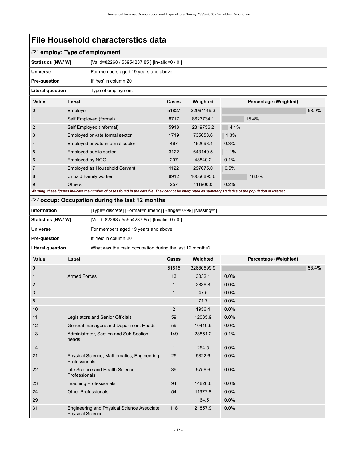<span id="page-20-0"></span>

|                                                                    |                         | #21 employ: Type of employment                                                                                                                              |                |            |                       |       |
|--------------------------------------------------------------------|-------------------------|-------------------------------------------------------------------------------------------------------------------------------------------------------------|----------------|------------|-----------------------|-------|
| Statistics [NW/W]                                                  |                         | [Valid=82268 / 55954237.85 ] [Invalid=0 / 0 ]                                                                                                               |                |            |                       |       |
| <b>Universe</b>                                                    |                         | For members aged 19 years and above                                                                                                                         |                |            |                       |       |
| Pre-question                                                       |                         | If 'Yes' in column 20                                                                                                                                       |                |            |                       |       |
| <b>Literal question</b>                                            |                         | Type of employment                                                                                                                                          |                |            |                       |       |
| Value                                                              | Label                   |                                                                                                                                                             | Cases          | Weighted   | Percentage (Weighted) |       |
| 0                                                                  | Employer                |                                                                                                                                                             | 51827          | 32961149.3 |                       | 58.9% |
| 1                                                                  |                         | Self Employed (formal)                                                                                                                                      | 8717           | 8623734.1  | 15.4%                 |       |
| 2                                                                  |                         | Self Employed (informal)                                                                                                                                    | 5918           | 2319756.2  | 4.1%                  |       |
| 3                                                                  |                         | Employed private formal sector                                                                                                                              | 1719           | 735653.6   | 1.3%                  |       |
| 4                                                                  |                         | Employed private informal sector                                                                                                                            | 467            | 162093.4   | 0.3%                  |       |
| 5                                                                  |                         | Employed public sector                                                                                                                                      | 3122           | 643140.5   | 1.1%                  |       |
| 6                                                                  | Employed by NGO         |                                                                                                                                                             | 207            | 48840.2    | 0.1%                  |       |
| 7                                                                  |                         | Employed as Household Servant                                                                                                                               | 1122           | 297075.0   | 0.5%                  |       |
| 8                                                                  |                         | <b>Unpaid Family worker</b>                                                                                                                                 | 8912           | 10050895.6 | 18.0%                 |       |
| 9                                                                  | <b>Others</b>           |                                                                                                                                                             | 257            | 111900.0   | 0.2%                  |       |
|                                                                    |                         | Warning: these figures indicate the number of cases found in the data file. They cannot be interpreted as summary statistics of the population of interest. |                |            |                       |       |
|                                                                    |                         | #22 occup: Occupation during the last 12 months                                                                                                             |                |            |                       |       |
| <b>Information</b>                                                 |                         | [Type= discrete] [Format=numeric] [Range= 0-99] [Missing=*]                                                                                                 |                |            |                       |       |
| Statistics [NW/W]<br>[Valid=82268 / 55954237.85 ] [Invalid=0 / 0 ] |                         |                                                                                                                                                             |                |            |                       |       |
| <b>Universe</b><br>For members aged 19 years and above             |                         |                                                                                                                                                             |                |            |                       |       |
| Pre-question                                                       |                         | If 'Yes' in column 20                                                                                                                                       |                |            |                       |       |
| <b>Literal question</b>                                            |                         | What was the main occupation during the last 12 months?                                                                                                     |                |            |                       |       |
| <b>Value</b>                                                       | Label                   |                                                                                                                                                             | Cases          | Weighted   | Percentage (Weighted) |       |
| 0                                                                  |                         |                                                                                                                                                             | 51515          | 32680599.9 |                       | 58.4% |
| 1                                                                  | <b>Armed Forces</b>     |                                                                                                                                                             | 13             | 3032.1     | 0.0%                  |       |
| 2                                                                  |                         |                                                                                                                                                             | 1              | 2836.8     | 0.0%                  |       |
| 3                                                                  |                         |                                                                                                                                                             | 1              | 47.5       | 0.0%                  |       |
| 8                                                                  |                         |                                                                                                                                                             | 1              | 71.7       | 0.0%                  |       |
| 10                                                                 |                         |                                                                                                                                                             | $\overline{2}$ | 1956.4     | 0.0%                  |       |
| 11                                                                 |                         | Legislators and Senior Officials                                                                                                                            | 59             | 12035.9    | 0.0%                  |       |
| 12                                                                 |                         | General managers and Department Heads                                                                                                                       | 59             | 10419.9    | 0.0%                  |       |
| 13                                                                 | heads                   | Administrator, Section and Sub Section                                                                                                                      | 149            | 28851.2    | 0.1%                  |       |
| 14                                                                 |                         |                                                                                                                                                             | $\mathbf{1}$   | 254.5      | 0.0%                  |       |
| 21                                                                 | Professionals           | Physical Science, Mathematics, Engineering                                                                                                                  | 25             | 5822.6     | 0.0%                  |       |
| 22                                                                 | Professionals           | Life Science and Health Science                                                                                                                             | 39             | 5756.6     | 0.0%                  |       |
| 23                                                                 |                         | <b>Teaching Professionals</b>                                                                                                                               | 94             | 14828.6    | 0.0%                  |       |
| 24                                                                 |                         | <b>Other Professionals</b>                                                                                                                                  | 54             | 11977.8    | 0.0%                  |       |
| 29                                                                 |                         |                                                                                                                                                             | $\mathbf{1}$   | 164.5      | 0.0%                  |       |
| 31                                                                 | <b>Physical Science</b> | Engineering and Physical Science Associate                                                                                                                  | 118            | 21857.9    | 0.0%                  |       |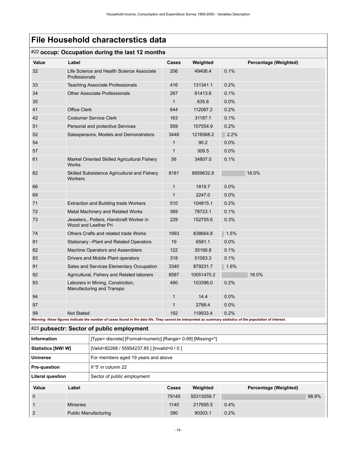### #22 **occup: Occupation during the last 12 months**

<span id="page-21-0"></span>

|                           |                                                                 | $-$ 000ap. Occupation adming the last 12 mont                                                                                                               |              |            |         |                       |       |
|---------------------------|-----------------------------------------------------------------|-------------------------------------------------------------------------------------------------------------------------------------------------------------|--------------|------------|---------|-----------------------|-------|
| Value                     | Label                                                           |                                                                                                                                                             | <b>Cases</b> | Weighted   |         | Percentage (Weighted) |       |
| 32                        | Professionals                                                   | Life Science and Health Science Associate                                                                                                                   | 206          | 49406.4    | 0.1%    |                       |       |
| 33                        |                                                                 | <b>Teaching Associate Professionals</b>                                                                                                                     | 416          | 131341.1   | 0.2%    |                       |       |
| 34                        |                                                                 | <b>Other Associate Professionals</b>                                                                                                                        | 287          | 81413.6    | 0.1%    |                       |       |
| 35                        |                                                                 |                                                                                                                                                             | $\mathbf{1}$ | 635.6      | $0.0\%$ |                       |       |
| 41                        | <b>Office Clerk</b>                                             |                                                                                                                                                             | 644          | 112087.2   | 0.2%    |                       |       |
| 42                        |                                                                 | <b>Costumer Service Clerk</b>                                                                                                                               | 163          | 31187.1    | 0.1%    |                       |       |
| 51                        |                                                                 | Personal and protective Services                                                                                                                            | 559          | 107554.9   | 0.2%    |                       |       |
| 52                        |                                                                 | Salespersons, Models and Demonstrators                                                                                                                      | 3448         | 1216568.2  | 2.2%    |                       |       |
| 54                        |                                                                 |                                                                                                                                                             | 1            | 90.2       | 0.0%    |                       |       |
| 57                        |                                                                 |                                                                                                                                                             | 1            | 309.5      | 0.0%    |                       |       |
| 61                        | Works                                                           | Market Oriented Skilled Agricultural Fishery                                                                                                                | 56           | 34807.0    | 0.1%    |                       |       |
| 62                        | Workers                                                         | Skilled Subsistence Agricultural and Fishery                                                                                                                | 8181         | 8959632.8  |         | 16.0%                 |       |
| 66                        |                                                                 |                                                                                                                                                             | 1            | 1819.7     | 0.0%    |                       |       |
| 69                        |                                                                 |                                                                                                                                                             | 1            | 2247.0     | $0.0\%$ |                       |       |
| 71                        |                                                                 | <b>Extraction and Building trade Workers</b>                                                                                                                | 510          | 104815.1   | 0.2%    |                       |       |
| 72                        |                                                                 | Metal Machinery and Related Works                                                                                                                           | 369          | 78723.1    | 0.1%    |                       |       |
| 73                        | Jewelers,, Potters, Handcraft Worker in<br>Wood and Leather Pri |                                                                                                                                                             | 229          | 152755.6   | 0.3%    |                       |       |
| 74                        |                                                                 | Others Crafts and related trade Works                                                                                                                       | 1993         | 838664.8   | 1.5%    |                       |       |
| 81                        |                                                                 | Stationary - Plant and Related Operators                                                                                                                    | 19           | 6581.1     | $0.0\%$ |                       |       |
| 82                        |                                                                 | Machine Operators and Assemblers                                                                                                                            | 122          | 35166.8    | 0.1%    |                       |       |
| 83                        |                                                                 | Drivers and Mobile Plant operators                                                                                                                          | 318          | 51083.3    | 0.1%    |                       |       |
| 91                        |                                                                 | Sales and Services Elementary Occupation                                                                                                                    | 3340         | 879231.7   | 1.6%    |                       |       |
| 92                        |                                                                 | Agricultural, Fishery and Related laborers                                                                                                                  | 8587         | 10051470.2 |         | 18.0%                 |       |
| 93                        |                                                                 | Laborers in Mining, Constriction,<br>Manufacturing and Transpo                                                                                              | 490          | 103396.0   | 0.2%    |                       |       |
| 94                        |                                                                 |                                                                                                                                                             | 1            | 14.4       | 0.0%    |                       |       |
| 97                        |                                                                 |                                                                                                                                                             | $\mathbf{1}$ | 2788.4     | 0.0%    |                       |       |
| 99                        | <b>Not Stated</b>                                               |                                                                                                                                                             | 192          | 119933.4   | 0.2%    |                       |       |
|                           |                                                                 | Warning: these figures indicate the number of cases found in the data file. They cannot be interpreted as summary statistics of the population of interest. |              |            |         |                       |       |
|                           |                                                                 | #23 pubsectr: Sector of public employment                                                                                                                   |              |            |         |                       |       |
| <b>Information</b>        |                                                                 | [Type= discrete] [Format=numeric] [Range= 0-99] [Missing=*]                                                                                                 |              |            |         |                       |       |
| <b>Statistics [NW/ W]</b> |                                                                 | [Valid=82268 / 55954237.85 ] [Invalid=0 / 0 ]                                                                                                               |              |            |         |                       |       |
| <b>Universe</b>           |                                                                 | For members aged 19 years and above                                                                                                                         |              |            |         |                       |       |
| Pre-question              |                                                                 | If '5' in column 22                                                                                                                                         |              |            |         |                       |       |
| <b>Literal question</b>   |                                                                 | Sector of public employment                                                                                                                                 |              |            |         |                       |       |
| Value                     | Label                                                           |                                                                                                                                                             | Cases        | Weighted   |         | Percentage (Weighted) |       |
| $\boldsymbol{0}$          |                                                                 |                                                                                                                                                             | 79145        | 55313059.7 |         |                       | 98.9% |
| 1                         | <b>Minisries</b>                                                |                                                                                                                                                             | 1140         | 217695.5   | 0.4%    |                       |       |
| $\overline{2}$            |                                                                 | <b>Public Manufacturing</b>                                                                                                                                 | 390          | 90303.1    | 0.2%    |                       |       |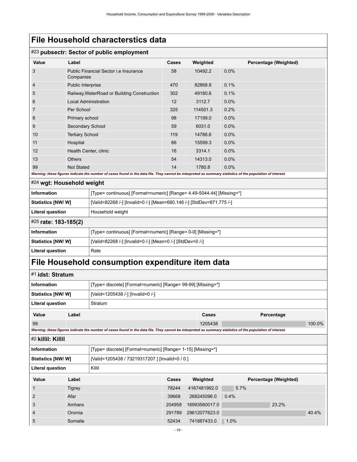### #23 **pubsectr: Sector of public employment**

| <b>Value</b>              | Label                       |                                                                                                                                                             | Cases | Weighted | Percentage (Weighted) |
|---------------------------|-----------------------------|-------------------------------------------------------------------------------------------------------------------------------------------------------------|-------|----------|-----------------------|
| 3                         | Companies                   | Public Financial Sector <i>i.e</i> Insurance                                                                                                                | 58    | 10492.2  | 0.0%                  |
| $\overline{4}$            | Public Interprise           |                                                                                                                                                             | 470   | 82868.8  | 0.1%                  |
| 5                         |                             | Railway, WaterRoad or Building Construction                                                                                                                 | 302   | 49180.6  | 0.1%                  |
| 6                         | <b>Local Administration</b> |                                                                                                                                                             | 12    | 3112.7   | 0.0%                  |
| 7                         | Per School                  |                                                                                                                                                             | 325   | 114501.3 | 0.2%                  |
| 8                         | Primary school              |                                                                                                                                                             | 98    | 17199.0  | 0.0%                  |
| 9                         | Secondary School            |                                                                                                                                                             | 59    | 6031.0   | 0.0%                  |
| 10                        | <b>Tertiary School</b>      |                                                                                                                                                             | 119   | 14786.6  | 0.0%                  |
| 11                        | Hospital                    |                                                                                                                                                             | 66    | 15599.3  | 0.0%                  |
| 12                        | Health Center, clinic       |                                                                                                                                                             | 16    | 3314.1   | 0.0%                  |
| 13                        | <b>Others</b>               |                                                                                                                                                             | 54    | 14313.0  | 0.0%                  |
| 99                        | <b>Not Stated</b>           |                                                                                                                                                             | 14    | 1780.8   | 0.0%                  |
|                           |                             | Warning: these figures indicate the number of cases found in the data file. They cannot be interpreted as summary statistics of the population of interest. |       |          |                       |
| #24 wgt: Household weight |                             |                                                                                                                                                             |       |          |                       |
| <b>Information</b>        |                             | [Type= continuous] [Format=numeric] [Range= 4.49-5044.44] [Missing=*]                                                                                       |       |          |                       |
| Statistics [NW/ W]        |                             | [Valid=82268 /-] [Invalid=0 /-] [Mean=680.146 /-] [StdDev=871.775 /-]                                                                                       |       |          |                       |
| <b>Literal question</b>   |                             | Household weight                                                                                                                                            |       |          |                       |
| #25 rate: 183-185(2)      |                             |                                                                                                                                                             |       |          |                       |
| <b>Information</b>        |                             | [Type= continuous] [Format=numeric] [Range= 0-0] [Missing=*]                                                                                                |       |          |                       |
| Statistics [NW/ W]        |                             | [Valid=82268 /-] [Invalid=0 /-] [Mean=0 /-] [StdDev=0 /-]                                                                                                   |       |          |                       |
| <b>Literal question</b>   |                             | Rate                                                                                                                                                        |       |          |                       |
|                           |                             | File Household consumption expenditure item data                                                                                                            |       |          |                       |
|                           |                             |                                                                                                                                                             |       |          |                       |

### <span id="page-22-4"></span><span id="page-22-3"></span><span id="page-22-2"></span><span id="page-22-1"></span><span id="page-22-0"></span>#1 **idst: Stratum Information information** [Type= discrete] [Format=numeric] [Range= 99-99] [Missing=\*] **Statistics [NW/ W]**  $|$  [Valid=1205438 /-] [Invalid=0 /-] **Literal question** Stratum **Value Label Cases Percentage** 99 1205438 100.0% *Warning: these figures indicate the number of cases found in the data file. They cannot be interpreted as summary statistics of the population of interest.* #2 **killil: Killil Information information** [Type= discrete] [Format=numeric] [Range= 1-15] [Missing=\*] **Statistics [NW/ W]** [Valid=1205438 / 73219317207 ] [Invalid=0 / 0 ] **Literal question** | Killil **Value Label Cases Weighted Percentage (Weighted)** 1 Tigray 78244 4167481992.0 5.7% 2 Afar 39668 268245096.0 0.4% 3 Amhara 204958 16993560017.0 23.2% 4 Oromia 291789 29612077623.0 40.4% 5 Somalie 52434 741887433.0 1.0%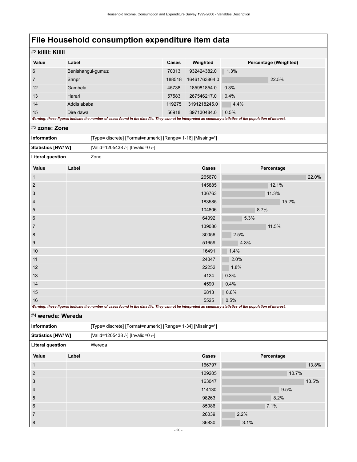<span id="page-23-0"></span>

| Value                                                                      | Label       |                                                             | Cases  | Weighted      | Percentage (Weighted)                                                                                                                                               |       |
|----------------------------------------------------------------------------|-------------|-------------------------------------------------------------|--------|---------------|---------------------------------------------------------------------------------------------------------------------------------------------------------------------|-------|
|                                                                            |             |                                                             | 70313  |               |                                                                                                                                                                     |       |
| 6<br>7                                                                     |             | Benishangul-gumuz                                           |        | 932424382.0   | 1.3%                                                                                                                                                                |       |
|                                                                            | Snnpr       |                                                             | 188518 | 16461763864.0 | 22.5%                                                                                                                                                               |       |
| 12                                                                         | Gambela     |                                                             | 45738  | 185981854.0   | 0.3%                                                                                                                                                                |       |
| 13                                                                         | Harari      |                                                             | 57583  | 267546217.0   | 0.4%                                                                                                                                                                |       |
| 14                                                                         | Addis ababa |                                                             | 119275 | 3191218245.0  | 4.4%                                                                                                                                                                |       |
| 15                                                                         | Dire dawa   |                                                             | 56918  | 397130484.0   | 0.5%<br>Warning: these figures indicate the number of cases found in the data file. They cannot be interpreted as summary statistics of the population of interest. |       |
| #3 zone: Zone                                                              |             |                                                             |        |               |                                                                                                                                                                     |       |
| <b>Information</b>                                                         |             | [Type= discrete] [Format=numeric] [Range= 1-16] [Missing=*] |        |               |                                                                                                                                                                     |       |
| Statistics [NW/W]                                                          |             | [Valid=1205438 /-] [Invalid=0 /-]                           |        |               |                                                                                                                                                                     |       |
| <b>Literal question</b>                                                    |             | Zone                                                        |        |               |                                                                                                                                                                     |       |
| Value                                                                      | Label       |                                                             |        | Cases         | Percentage                                                                                                                                                          |       |
|                                                                            |             |                                                             |        | 265670        |                                                                                                                                                                     | 22.0% |
|                                                                            |             |                                                             |        | 145885        | 12.1%                                                                                                                                                               |       |
|                                                                            |             |                                                             |        |               |                                                                                                                                                                     |       |
|                                                                            |             |                                                             |        | 136763        | 11.3%                                                                                                                                                               |       |
|                                                                            |             |                                                             |        | 183585        | 15.2%                                                                                                                                                               |       |
|                                                                            |             |                                                             |        | 104806        | 8.7%                                                                                                                                                                |       |
|                                                                            |             |                                                             |        | 64092         | 5.3%                                                                                                                                                                |       |
|                                                                            |             |                                                             |        | 139080        | 11.5%                                                                                                                                                               |       |
|                                                                            |             |                                                             |        | 30056         | 2.5%                                                                                                                                                                |       |
|                                                                            |             |                                                             |        | 51659         | 4.3%                                                                                                                                                                |       |
|                                                                            |             |                                                             |        | 16491         | 1.4%                                                                                                                                                                |       |
| $\overline{2}$<br>3<br>$\overline{4}$<br>5<br>6<br>7<br>8<br>9<br>10<br>11 |             |                                                             |        | 24047         | 2.0%                                                                                                                                                                |       |
|                                                                            |             |                                                             |        | 22252         | 1.8%                                                                                                                                                                |       |
|                                                                            |             |                                                             |        | 4124          | 0.3%                                                                                                                                                                |       |
| 12<br>13<br>14                                                             |             |                                                             |        | 4590          | 0.4%                                                                                                                                                                |       |
| 15                                                                         |             |                                                             |        | 6813          | 0.6%                                                                                                                                                                |       |

<span id="page-23-1"></span>

| <b>Information</b>                                     |       | [Type= discrete] [Format=numeric] [Range= 1-34] [Missing=*] |        |            |
|--------------------------------------------------------|-------|-------------------------------------------------------------|--------|------------|
| Statistics [NW/W]<br>[Valid=1205438 /-] [Invalid=0 /-] |       |                                                             |        |            |
| <b>Literal question</b>                                |       | Wereda                                                      |        |            |
| Value                                                  | Label |                                                             | Cases  | Percentage |
|                                                        |       |                                                             | 166797 | 13.8%      |
| $\overline{2}$                                         |       |                                                             | 129205 | 10.7%      |
| 3                                                      |       |                                                             | 163047 | 13.5%      |
| $\overline{4}$                                         |       |                                                             | 114130 | 9.5%       |
| 5                                                      |       |                                                             | 98263  | 8.2%       |
| 6                                                      |       |                                                             | 85086  | 7.1%       |
| $\overline{7}$                                         |       |                                                             | 26039  | 2.2%       |
| 8                                                      |       |                                                             | 36830  | 3.1%       |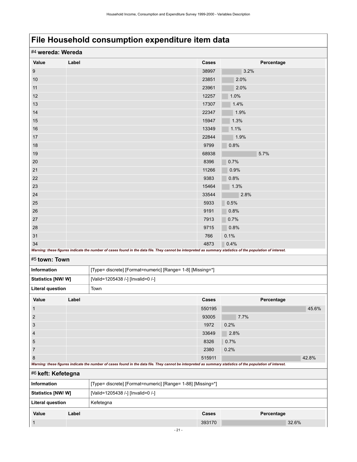<span id="page-24-1"></span><span id="page-24-0"></span>

| #4 wereda: Wereda       |       |                                                                                                                                                             |        |            |       |
|-------------------------|-------|-------------------------------------------------------------------------------------------------------------------------------------------------------------|--------|------------|-------|
| Value                   | Label |                                                                                                                                                             | Cases  | Percentage |       |
| 9                       |       |                                                                                                                                                             | 38997  | 3.2%       |       |
| 10                      |       |                                                                                                                                                             | 23851  | 2.0%       |       |
| 11                      |       |                                                                                                                                                             | 23961  | 2.0%       |       |
| 12                      |       |                                                                                                                                                             | 12257  | 1.0%       |       |
| 13                      |       |                                                                                                                                                             | 17307  | 1.4%       |       |
| 14                      |       |                                                                                                                                                             | 22347  | 1.9%       |       |
| 15                      |       |                                                                                                                                                             | 15947  | 1.3%       |       |
| 16                      |       |                                                                                                                                                             | 13349  | 1.1%       |       |
| 17                      |       |                                                                                                                                                             | 22844  | 1.9%       |       |
| 18                      |       |                                                                                                                                                             | 9799   | 0.8%       |       |
| 19                      |       |                                                                                                                                                             | 68938  | 5.7%       |       |
| 20                      |       |                                                                                                                                                             | 8396   | 0.7%       |       |
| 21                      |       |                                                                                                                                                             | 11266  | 0.9%       |       |
| 22                      |       |                                                                                                                                                             | 9383   | 0.8%       |       |
| 23                      |       |                                                                                                                                                             | 15464  | 1.3%       |       |
| 24                      |       |                                                                                                                                                             | 33544  | 2.8%       |       |
| 25                      |       |                                                                                                                                                             | 5933   | 0.5%       |       |
| 26                      |       |                                                                                                                                                             | 9191   | 0.8%       |       |
| 27                      |       |                                                                                                                                                             | 7913   | 0.7%       |       |
| 28                      |       |                                                                                                                                                             | 9715   | 0.8%       |       |
| 31                      |       |                                                                                                                                                             | 766    | 0.1%       |       |
| 34                      |       |                                                                                                                                                             | 4873   | 0.4%       |       |
|                         |       | Warning: these figures indicate the number of cases found in the data file. They cannot be interpreted as summary statistics of the population of interest. |        |            |       |
| #5 town: Town           |       |                                                                                                                                                             |        |            |       |
| Information             |       | [Type= discrete] [Format=numeric] [Range= 1-8] [Missing=*]                                                                                                  |        |            |       |
| Statistics [NW/W]       |       | [Valid=1205438 /-] [Invalid=0 /-]                                                                                                                           |        |            |       |
| <b>Literal question</b> |       | Town                                                                                                                                                        |        |            |       |
| Value                   | Label |                                                                                                                                                             | Cases  | Percentage |       |
| $\mathbf{1}$            |       |                                                                                                                                                             | 550195 |            | 45.6% |
| $\overline{2}$          |       |                                                                                                                                                             | 93005  | 7.7%       |       |
| 3                       |       |                                                                                                                                                             | 1972   | 0.2%       |       |
| 4                       |       |                                                                                                                                                             | 33649  | 2.8%       |       |
| 5                       |       |                                                                                                                                                             | 8326   | 0.7%       |       |
| $\overline{7}$          |       |                                                                                                                                                             | 2380   | 0.2%       |       |
| 8                       |       |                                                                                                                                                             | 515911 |            | 42.8% |
|                         |       | Warning: these figures indicate the number of cases found in the data file. They cannot be interpreted as summary statistics of the population of interest. |        |            |       |
| #6 keft: Kefetegna      |       |                                                                                                                                                             |        |            |       |
| <b>Information</b>      |       | [Type= discrete] [Format=numeric] [Range= 1-88] [Missing=*]                                                                                                 |        |            |       |
| Statistics [NW/W]       |       | [Valid=1205438 /-] [Invalid=0 /-]                                                                                                                           |        |            |       |
| <b>Literal question</b> |       | Kefetegna                                                                                                                                                   |        |            |       |
| Value                   | Label |                                                                                                                                                             | Cases  | Percentage |       |
| 1                       |       |                                                                                                                                                             | 393170 |            | 32.6% |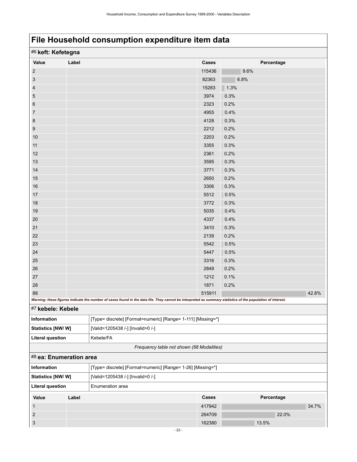<span id="page-25-1"></span><span id="page-25-0"></span>

| #6 keft: Kefetegna      |       |                                                                                                                                                             |        |            |       |
|-------------------------|-------|-------------------------------------------------------------------------------------------------------------------------------------------------------------|--------|------------|-------|
| Value                   | Label |                                                                                                                                                             | Cases  | Percentage |       |
| $\sqrt{2}$              |       |                                                                                                                                                             | 115436 | 9.6%       |       |
| $\sqrt{3}$              |       |                                                                                                                                                             | 82363  | 6.8%       |       |
| $\overline{4}$          |       |                                                                                                                                                             | 15283  | 1.3%       |       |
| $\overline{5}$          |       |                                                                                                                                                             | 3974   | 0.3%       |       |
| 6                       |       |                                                                                                                                                             | 2323   | 0.2%       |       |
| $\overline{7}$          |       |                                                                                                                                                             | 4955   | 0.4%       |       |
| 8                       |       |                                                                                                                                                             | 4128   | 0.3%       |       |
| 9                       |       |                                                                                                                                                             | 2212   | 0.2%       |       |
| 10                      |       |                                                                                                                                                             | 2203   | 0.2%       |       |
| 11                      |       |                                                                                                                                                             | 3355   | 0.3%       |       |
| 12                      |       |                                                                                                                                                             | 2361   | 0.2%       |       |
| 13                      |       |                                                                                                                                                             | 3595   | 0.3%       |       |
| 14                      |       |                                                                                                                                                             | 3771   | 0.3%       |       |
| 15                      |       |                                                                                                                                                             | 2650   | 0.2%       |       |
| 16                      |       |                                                                                                                                                             | 3306   | 0.3%       |       |
| 17                      |       |                                                                                                                                                             | 5512   | 0.5%       |       |
| 18                      |       |                                                                                                                                                             | 3772   | 0.3%       |       |
| 19                      |       |                                                                                                                                                             | 5035   | 0.4%       |       |
| 20                      |       |                                                                                                                                                             | 4337   | 0.4%       |       |
| 21                      |       |                                                                                                                                                             | 3410   | 0.3%       |       |
| 22                      |       |                                                                                                                                                             | 2139   | 0.2%       |       |
| 23                      |       |                                                                                                                                                             | 5542   | 0.5%       |       |
| 24                      |       |                                                                                                                                                             | 5447   | 0.5%       |       |
| 25                      |       |                                                                                                                                                             | 3316   | 0.3%       |       |
| 26                      |       |                                                                                                                                                             | 2849   | 0.2%       |       |
| 27                      |       |                                                                                                                                                             | 1212   | 0.1%       |       |
| 28                      |       |                                                                                                                                                             | 1871   | 0.2%       |       |
| 88                      |       | Warning: these figures indicate the number of cases found in the data file. They cannot be interpreted as summary statistics of the population of interest. | 515911 |            | 42.8% |
| #7 kebele: Kebele       |       |                                                                                                                                                             |        |            |       |
| Information             |       | [Type= discrete] [Format=numeric] [Range= 1-111] [Missing=*]                                                                                                |        |            |       |
| Statistics [NW/W]       |       | [Valid=1205438 /-] [Invalid=0 /-]                                                                                                                           |        |            |       |
| <b>Literal question</b> |       | Kebele/FA                                                                                                                                                   |        |            |       |
|                         |       | Frequency table not shown (88 Modalities)                                                                                                                   |        |            |       |
| #8 ea: Enumeration area |       |                                                                                                                                                             |        |            |       |
| Information             |       | [Type= discrete] [Format=numeric] [Range= 1-26] [Missing=*]                                                                                                 |        |            |       |
| Statistics [NW/W]       |       | [Valid=1205438 /-] [Invalid=0 /-]                                                                                                                           |        |            |       |
| <b>Literal question</b> |       | Enumeration area                                                                                                                                            |        |            |       |
| Value                   | Label |                                                                                                                                                             | Cases  | Percentage |       |
| $\mathbf{1}$            |       |                                                                                                                                                             | 417942 |            | 34.7% |
| $\sqrt{2}$              |       |                                                                                                                                                             | 264709 | 22.0%      |       |
| $\sqrt{3}$              |       |                                                                                                                                                             | 162380 | 13.5%      |       |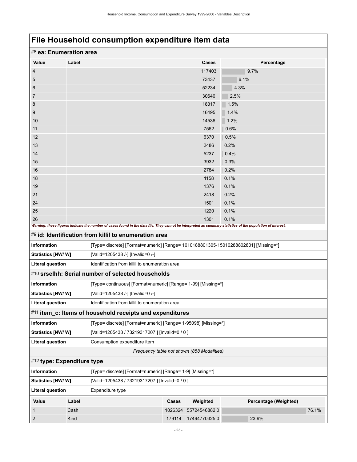<span id="page-26-3"></span><span id="page-26-2"></span><span id="page-26-1"></span><span id="page-26-0"></span>

| #8 ea: Enumeration area    |       |                                                                                                                                                             |         |                                            |                       |       |
|----------------------------|-------|-------------------------------------------------------------------------------------------------------------------------------------------------------------|---------|--------------------------------------------|-----------------------|-------|
| Value                      | Label |                                                                                                                                                             |         | <b>Cases</b>                               | Percentage            |       |
| 4                          |       |                                                                                                                                                             |         | 117403                                     | 9.7%                  |       |
| 5                          |       |                                                                                                                                                             |         | 73437                                      | 6.1%                  |       |
| 6                          |       |                                                                                                                                                             |         | 52234                                      | 4.3%                  |       |
| 7                          |       |                                                                                                                                                             |         | 30640                                      | 2.5%                  |       |
| 8                          |       |                                                                                                                                                             |         | 18317                                      | 1.5%                  |       |
| 9                          |       |                                                                                                                                                             |         | 16495                                      | 1.4%                  |       |
| 10                         |       |                                                                                                                                                             |         | 14536                                      | 1.2%                  |       |
| 11                         |       |                                                                                                                                                             |         | 7562                                       | 0.6%                  |       |
| 12                         |       |                                                                                                                                                             |         | 6370                                       | 0.5%                  |       |
| 13                         |       |                                                                                                                                                             |         | 2486                                       | 0.2%                  |       |
| 14                         |       |                                                                                                                                                             |         | 5237                                       | 0.4%                  |       |
| 15                         |       |                                                                                                                                                             |         | 3932                                       | 0.3%                  |       |
| 16                         |       |                                                                                                                                                             |         | 2784                                       | 0.2%                  |       |
| 18                         |       |                                                                                                                                                             |         | 1158                                       | 0.1%                  |       |
| 19                         |       |                                                                                                                                                             |         | 1376                                       | 0.1%                  |       |
| 21                         |       |                                                                                                                                                             |         | 2418                                       | 0.2%                  |       |
| 24<br>25                   |       |                                                                                                                                                             |         | 1501<br>1220                               | 0.1%<br>0.1%          |       |
| 26                         |       |                                                                                                                                                             |         | 1301                                       | 0.1%                  |       |
|                            |       | Warning: these figures indicate the number of cases found in the data file. They cannot be interpreted as summary statistics of the population of interest. |         |                                            |                       |       |
|                            |       | #9 id: Identification from killil to enumeration area                                                                                                       |         |                                            |                       |       |
| <b>Information</b>         |       | [Type= discrete] [Format=numeric] [Range= 1010188801305-15010288802801] [Missing=*]                                                                         |         |                                            |                       |       |
| Statistics [NW/W]          |       | [Valid=1205438 /-] [Invalid=0 /-]                                                                                                                           |         |                                            |                       |       |
| <b>Literal question</b>    |       | Identification from killil to enumeration area                                                                                                              |         |                                            |                       |       |
|                            |       | #10 srselhh: Serial number of selected households                                                                                                           |         |                                            |                       |       |
| Information                |       | [Type= continuous] [Format=numeric] [Range= 1-99] [Missing=*]                                                                                               |         |                                            |                       |       |
| Statistics [NW/ W]         |       | [Valid=1205438 /-] [Invalid=0 /-]                                                                                                                           |         |                                            |                       |       |
| <b>Literal question</b>    |       | Identification from killil to enumeration area                                                                                                              |         |                                            |                       |       |
|                            |       | #11 item_c: Items of household receipts and expenditures                                                                                                    |         |                                            |                       |       |
| <b>Information</b>         |       | [Type= discrete] [Format=numeric] [Range= 1-95098] [Missing=*]                                                                                              |         |                                            |                       |       |
| Statistics [NW/ W]         |       | [Valid=1205438 / 73219317207 ] [Invalid=0 / 0 ]                                                                                                             |         |                                            |                       |       |
| <b>Literal question</b>    |       | Consumption expenditure item                                                                                                                                |         |                                            |                       |       |
|                            |       |                                                                                                                                                             |         | Frequency table not shown (858 Modalities) |                       |       |
| #12 type: Expenditure type |       |                                                                                                                                                             |         |                                            |                       |       |
| Information                |       | [Type= discrete] [Format=numeric] [Range= 1-9] [Missing=*]                                                                                                  |         |                                            |                       |       |
| Statistics [NW/W]          |       | [Valid=1205438 / 73219317207 ] [Invalid=0 / 0 ]                                                                                                             |         |                                            |                       |       |
| <b>Literal question</b>    |       | Expenditure type                                                                                                                                            |         |                                            |                       |       |
| Value                      | Label |                                                                                                                                                             | Cases   | Weighted                                   | Percentage (Weighted) |       |
| 1                          | Cash  |                                                                                                                                                             | 1026324 | 55724546882.0                              |                       | 76.1% |
| 2                          | Kind  |                                                                                                                                                             | 179114  | 17494770325.0                              | 23.9%                 |       |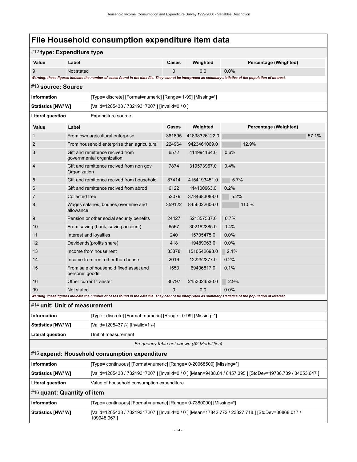<span id="page-27-3"></span><span id="page-27-2"></span><span id="page-27-1"></span><span id="page-27-0"></span>

| #12 type: Expenditure type    |                                                    |                                                                                                                                                             |          |                                           |                                                                                                            |
|-------------------------------|----------------------------------------------------|-------------------------------------------------------------------------------------------------------------------------------------------------------------|----------|-------------------------------------------|------------------------------------------------------------------------------------------------------------|
| Value                         | Label                                              |                                                                                                                                                             | Cases    | Weighted                                  | Percentage (Weighted)                                                                                      |
| 9                             | Not stated                                         |                                                                                                                                                             | $\Omega$ | 0.0                                       | 0.0%                                                                                                       |
|                               |                                                    | Warning: these figures indicate the number of cases found in the data file. They cannot be interpreted as summary statistics of the population of interest. |          |                                           |                                                                                                            |
| #13 source: Source            |                                                    |                                                                                                                                                             |          |                                           |                                                                                                            |
| <b>Information</b>            |                                                    | [Type= discrete] [Format=numeric] [Range= 1-99] [Missing=*]                                                                                                 |          |                                           |                                                                                                            |
| <b>Statistics [NW/ W]</b>     |                                                    | [Valid=1205438 / 73219317207 ] [Invalid=0 / 0 ]                                                                                                             |          |                                           |                                                                                                            |
| <b>Literal question</b>       |                                                    | Expenditure source                                                                                                                                          |          |                                           |                                                                                                            |
| Value                         | Label                                              |                                                                                                                                                             | Cases    | Weighted                                  | Percentage (Weighted)                                                                                      |
| 1                             |                                                    | From own agricultural enterprise                                                                                                                            | 361895   | 41838326122.0                             | 57.1%                                                                                                      |
| $\overline{2}$                |                                                    | From household enterprise than agricultural                                                                                                                 | 224964   | 9423461069.0                              | 12.9%                                                                                                      |
| 3                             |                                                    | Gift and remittence recived from<br>governmental organization                                                                                               | 6572     | 414994164.0                               | 0.6%                                                                                                       |
| $\overline{4}$                | Organization                                       | Gift and remittence recived from non gov.                                                                                                                   | 7874     | 319573967.0                               | 0.4%                                                                                                       |
| 5                             |                                                    | Gift and remittence recived from household                                                                                                                  | 87414    | 4154193451.0                              | 5.7%                                                                                                       |
| 6                             |                                                    | Gift and remittence recived from abrod                                                                                                                      | 6122     | 114100963.0                               | 0.2%                                                                                                       |
| 7                             | Collected free                                     |                                                                                                                                                             | 52079    | 3784683088.0                              | 5.2%                                                                                                       |
| 8                             | Wages salaries, bounes, overtrime and<br>allowance |                                                                                                                                                             | 359122   | 8456022606.0                              | 11.5%                                                                                                      |
| 9                             |                                                    | Pension or other social security benefits                                                                                                                   | 24427    | 521357537.0                               | 0.7%                                                                                                       |
| 10                            |                                                    | From saving (bank, saving account)                                                                                                                          | 6567     | 302182385.0                               | 0.4%                                                                                                       |
| 11                            |                                                    | Interest and loyalties                                                                                                                                      | 240      | 15705475.0                                | 0.0%                                                                                                       |
| 12                            |                                                    | Devidends(profits share)                                                                                                                                    | 418      | 19489963.0                                | 0.0%                                                                                                       |
| 13                            |                                                    | Income from house rent                                                                                                                                      | 33378    | 1510542693.0                              | 2.1%                                                                                                       |
| 14                            |                                                    | Income from rent other than house                                                                                                                           | 2016     | 122252377.0                               | 0.2%                                                                                                       |
| 15                            | personel goods                                     | From sale of household fixed asset and                                                                                                                      | 1553     | 69406817.0                                | 0.1%                                                                                                       |
| 16                            |                                                    | Other current transfer                                                                                                                                      | 30797    | 2153024530.0                              | 2.9%                                                                                                       |
| 99                            | Not stated                                         | Warning: these figures indicate the number of cases found in the data file. They cannot be interpreted as summary statistics of the population of interest. | 0        | 0.0                                       | 0.0%                                                                                                       |
| #14 unit: Unit of measurement |                                                    |                                                                                                                                                             |          |                                           |                                                                                                            |
|                               |                                                    |                                                                                                                                                             |          |                                           |                                                                                                            |
| <b>Information</b>            |                                                    | [Type= discrete] [Format=numeric] [Range= 0-99] [Missing=*]                                                                                                 |          |                                           |                                                                                                            |
| <b>Statistics [NW/W]</b>      |                                                    | [Valid=1205437 /-] [Invalid=1 /-]                                                                                                                           |          |                                           |                                                                                                            |
| <b>Literal question</b>       |                                                    | Unit of measurement                                                                                                                                         |          |                                           |                                                                                                            |
|                               |                                                    |                                                                                                                                                             |          | Frequency table not shown (52 Modalities) |                                                                                                            |
|                               |                                                    | #15 expend: Household consumption expenditure                                                                                                               |          |                                           |                                                                                                            |
| <b>Information</b>            |                                                    | [Type= continuous] [Format=numeric] [Range= 0-20068500] [Missing=*]                                                                                         |          |                                           |                                                                                                            |
| <b>Statistics [NW/W]</b>      |                                                    |                                                                                                                                                             |          |                                           | [Valid=1205438 / 73219317207 ] [Invalid=0 / 0 ] [Mean=9488.84 / 8457.395 ] [StdDev=49736.739 / 34053.647 ] |
| <b>Literal question</b>       |                                                    | Value of household consumption expenditure                                                                                                                  |          |                                           |                                                                                                            |
| #16 quant: Quantity of item   |                                                    |                                                                                                                                                             |          |                                           |                                                                                                            |
| Information                   |                                                    | [Type= continuous] [Format=numeric] [Range= 0-7380000] [Missing=*]                                                                                          |          |                                           |                                                                                                            |
| Statistics [NW/W]             |                                                    | 109948.967]                                                                                                                                                 |          |                                           | [Valid=1205438 / 73219317207 ] [Invalid=0 / 0 ] [Mean=17842.772 / 23327.718 ] [StdDev=80868.017 /          |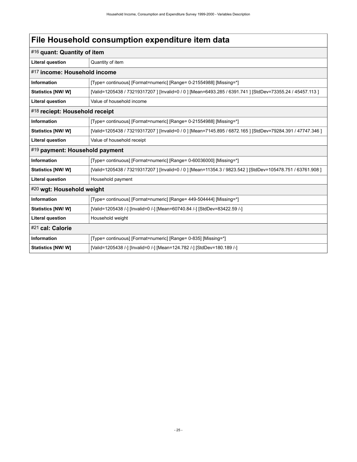<span id="page-28-4"></span><span id="page-28-3"></span><span id="page-28-2"></span><span id="page-28-1"></span><span id="page-28-0"></span>

|                                | #16 quant: Quantity of item                                                                                 |  |  |  |  |
|--------------------------------|-------------------------------------------------------------------------------------------------------------|--|--|--|--|
| <b>Literal question</b>        | Quantity of item                                                                                            |  |  |  |  |
| #17 income: Household income   |                                                                                                             |  |  |  |  |
| <b>Information</b>             | [Type= continuous] [Format=numeric] [Range= 0-21554988] [Missing=*]                                         |  |  |  |  |
| Statistics [NW/ W]             | [Valid=1205438 / 73219317207 ] [Invalid=0 / 0 ] [Mean=6493.285 / 6391.741 ] [StdDev=73355.24 / 45457.113 ]  |  |  |  |  |
| <b>Literal question</b>        | Value of household income                                                                                   |  |  |  |  |
| #18 reciept: Household receipt |                                                                                                             |  |  |  |  |
| <b>Information</b>             | [Type= continuous] [Format=numeric] [Range= 0-21554988] [Missing=*]                                         |  |  |  |  |
| Statistics [NW/ W]             | [Valid=1205438 / 73219317207 ] [Invalid=0 / 0 ] [Mean=7145.895 / 6872.165 ] [StdDev=79284.391 / 47747.346 ] |  |  |  |  |
| <b>Literal question</b>        | Value of household receipt                                                                                  |  |  |  |  |
| #19 payment: Household payment |                                                                                                             |  |  |  |  |
| <b>Information</b>             | [Type= continuous] [Format=numeric] [Range= 0-60036000] [Missing=*]                                         |  |  |  |  |
| Statistics [NW/W]              | [Valid=1205438 / 73219317207 ] [Invalid=0 / 0 ] [Mean=11354.3 / 9823.542 ] [StdDev=105478.751 / 63761.908 ] |  |  |  |  |
| <b>Literal question</b>        | Household payment                                                                                           |  |  |  |  |
| #20 wgt: Household weight      |                                                                                                             |  |  |  |  |
| <b>Information</b>             | [Type= continuous] [Format=numeric] [Range= 449-504444] [Missing=*]                                         |  |  |  |  |
| Statistics [NW/ W]             | [Valid=1205438 /-] [Invalid=0 /-] [Mean=60740.84 /-] [StdDev=83422.59 /-]                                   |  |  |  |  |
| <b>Literal question</b>        | Household weight                                                                                            |  |  |  |  |
| #21 cal: Calorie               |                                                                                                             |  |  |  |  |
| <b>Information</b>             | [Type= continuous] [Format=numeric] [Range= 0-835] [Missing=*]                                              |  |  |  |  |
| <b>Statistics [NW/W]</b>       | [Valid=1205438 /-] [Invalid=0 /-] [Mean=124.782 /-] [StdDev=180.189 /-]                                     |  |  |  |  |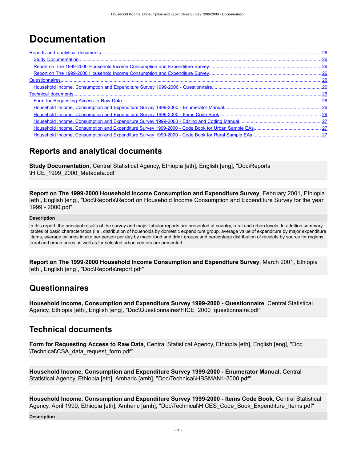# <span id="page-29-0"></span>**Documentation**

### <span id="page-29-1"></span>**Reports and analytical documents**

<span id="page-29-2"></span>**Study Documentation**, Central Statistical Agency, Ethiopia [eth], English [eng], "Doc\Reports \HICE\_1999\_2000\_Metadata.pdf"

<span id="page-29-3"></span>**Report on The 1999-2000 Household Income Consumption and Expenditure Survey**, February 2001, Ethiopia [eth], English [eng], "Doc\Reports\Report on Household Income Consumption and Expenditure Survey for the year 1999 - 2000.pdf"

#### **Description**

In this report, the principal results of the survey and major tabular reports are presented at country, rural and urban levels. In addition summary tables of basic characteristics (i,e., distribution of houeholds by domestic expenditure group, average value of expenditure by major expenditure items, average calories intake per person per day by major food and drink groups and percentage distribution of receipts by source for regions, rural and urban areas as well as for selected urban centers are presented.

<span id="page-29-4"></span>**Report on The 1999-2000 Household Income Consumption and Expenditure Survey**, March 2001, Ethiopia [eth], English [eng], "Doc\Reports\report.pdf"

### <span id="page-29-5"></span>**Questionnaires**

<span id="page-29-6"></span>**Household Income, Consumption and Expenditure Survey 1999-2000 - Questionnaire**, Central Statistical Agency, Ethiopia [eth], English [eng], "Doc\Questionnaires\HICE\_2000\_questionnaire.pdf"

### <span id="page-29-7"></span>**Technical documents**

<span id="page-29-8"></span>**Form for Requesting Access to Raw Data**, Central Statistical Agency, Ethiopia [eth], English [eng], "Doc \Technical\CSA\_data\_request\_form.pdf"

<span id="page-29-9"></span>**Household Income, Consumption and Expenditure Survey 1999-2000 - Enumerator Manual**, Central Statistical Agency, Ethiopia [eth], Amharic [amh], "Doc\Technical\HBSMAN1-2000.pdf"

<span id="page-29-10"></span>**Household Income, Consumption and Expenditure Survey 1999-2000 - Items Code Book**, Central Statistical Agency, April 1999, Ethiopia [eth], Amharic [amh], "Doc\Technical\HICES\_Code\_Book\_Expenditure\_Items.pdf"

**Description**